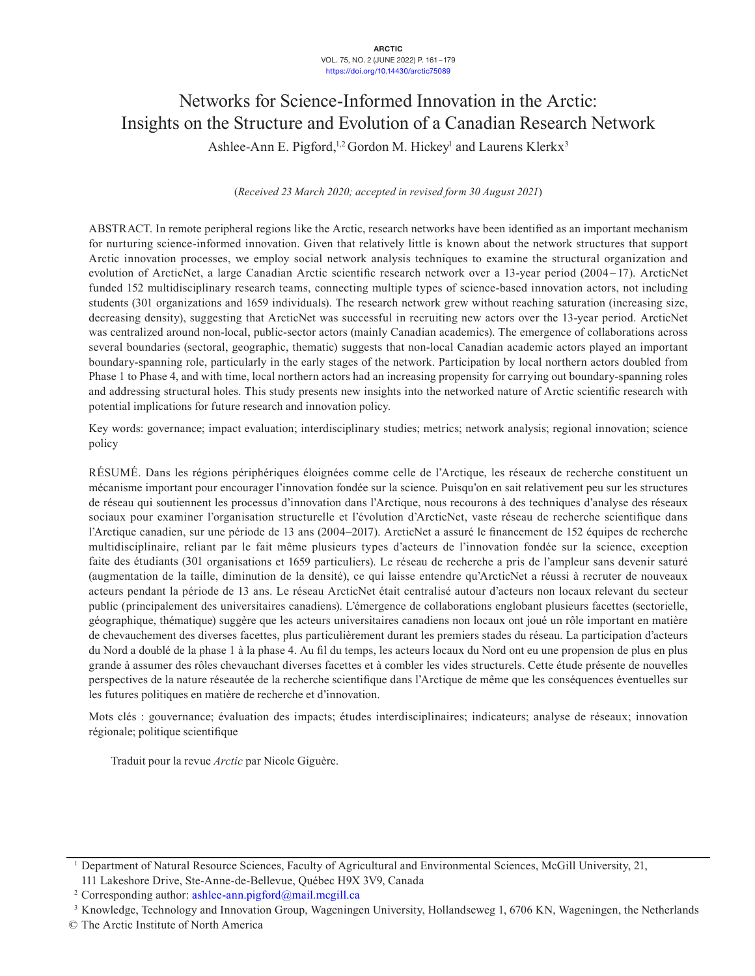# Networks for Science-Informed Innovation in the Arctic: Insights on the Structure and Evolution of a Canadian Research Network Ashlee-Ann E. Pigford,<sup>1,2</sup> Gordon M. Hickey<sup>1</sup> and Laurens Klerkx<sup>3</sup>

(*Received 23 March 2020; accepted in revised form 30 August 2021*)

ABSTRACT. In remote peripheral regions like the Arctic, research networks have been identified as an important mechanism for nurturing science-informed innovation. Given that relatively little is known about the network structures that support Arctic innovation processes, we employ social network analysis techniques to examine the structural organization and evolution of ArcticNet, a large Canadian Arctic scientific research network over a 13-year period (2004–17). ArcticNet funded 152 multidisciplinary research teams, connecting multiple types of science-based innovation actors, not including students (301 organizations and 1659 individuals). The research network grew without reaching saturation (increasing size, decreasing density), suggesting that ArcticNet was successful in recruiting new actors over the 13-year period. ArcticNet was centralized around non-local, public-sector actors (mainly Canadian academics). The emergence of collaborations across several boundaries (sectoral, geographic, thematic) suggests that non-local Canadian academic actors played an important boundary-spanning role, particularly in the early stages of the network. Participation by local northern actors doubled from Phase 1 to Phase 4, and with time, local northern actors had an increasing propensity for carrying out boundary-spanning roles and addressing structural holes. This study presents new insights into the networked nature of Arctic scientific research with potential implications for future research and innovation policy.

Key words: governance; impact evaluation; interdisciplinary studies; metrics; network analysis; regional innovation; science policy

RÉSUMÉ. Dans les régions périphériques éloignées comme celle de l'Arctique, les réseaux de recherche constituent un mécanisme important pour encourager l'innovation fondée sur la science. Puisqu'on en sait relativement peu sur les structures de réseau qui soutiennent les processus d'innovation dans l'Arctique, nous recourons à des techniques d'analyse des réseaux sociaux pour examiner l'organisation structurelle et l'évolution d'ArcticNet, vaste réseau de recherche scientifique dans l'Arctique canadien, sur une période de 13 ans (2004–2017). ArcticNet a assuré le financement de 152 équipes de recherche multidisciplinaire, reliant par le fait même plusieurs types d'acteurs de l'innovation fondée sur la science, exception faite des étudiants (301 organisations et 1659 particuliers). Le réseau de recherche a pris de l'ampleur sans devenir saturé (augmentation de la taille, diminution de la densité), ce qui laisse entendre qu'ArcticNet a réussi à recruter de nouveaux acteurs pendant la période de 13 ans. Le réseau ArcticNet était centralisé autour d'acteurs non locaux relevant du secteur public (principalement des universitaires canadiens). L'émergence de collaborations englobant plusieurs facettes (sectorielle, géographique, thématique) suggère que les acteurs universitaires canadiens non locaux ont joué un rôle important en matière de chevauchement des diverses facettes, plus particulièrement durant les premiers stades du réseau. La participation d'acteurs du Nord a doublé de la phase 1 à la phase 4. Au fil du temps, les acteurs locaux du Nord ont eu une propension de plus en plus grande à assumer des rôles chevauchant diverses facettes et à combler les vides structurels. Cette étude présente de nouvelles perspectives de la nature réseautée de la recherche scientifique dans l'Arctique de même que les conséquences éventuelles sur les futures politiques en matière de recherche et d'innovation.

Mots clés : gouvernance; évaluation des impacts; études interdisciplinaires; indicateurs; analyse de réseaux; innovation régionale; politique scientifique

Traduit pour la revue *Arctic* par Nicole Giguère.

<sup>1</sup> Department of Natural Resource Sciences, Faculty of Agricultural and Environmental Sciences, McGill University, 21, 111 Lakeshore Drive, Ste-Anne-de-Bellevue, Québec H9X 3V9, Canada

<sup>&</sup>lt;sup>2</sup> Corresponding author: [ashlee-ann.pigford@mail.mcgill.ca](mailto:ashlee-ann.pigford@mail.mcgill.ca)

<sup>3</sup> Knowledge, Technology and Innovation Group, Wageningen University, Hollandseweg 1, 6706 KN, Wageningen, the Netherlands

<sup>©</sup> The Arctic Institute of North America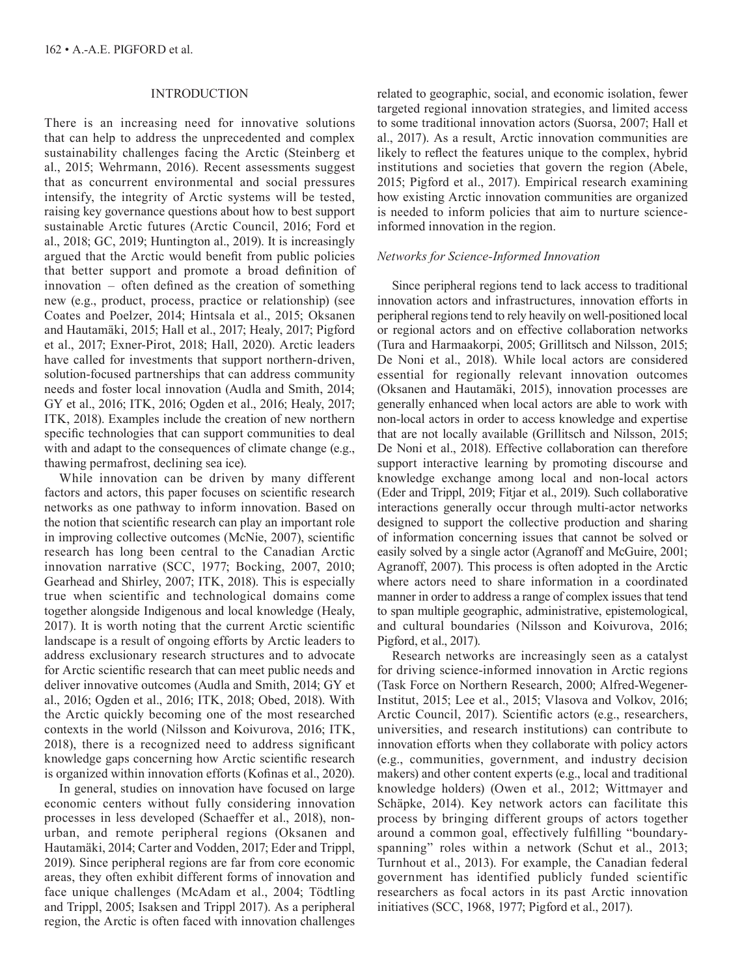# INTRODUCTION

There is an increasing need for innovative solutions that can help to address the unprecedented and complex sustainability challenges facing the Arctic (Steinberg et al., 2015; Wehrmann, 2016). Recent assessments suggest that as concurrent environmental and social pressures intensify, the integrity of Arctic systems will be tested, raising key governance questions about how to best support sustainable Arctic futures (Arctic Council, 2016; Ford et al., 2018; GC, 2019; Huntington al., 2019). It is increasingly argued that the Arctic would benefit from public policies that better support and promote a broad definition of innovation – often defined as the creation of something new (e.g., product, process, practice or relationship) (see Coates and Poelzer, 2014; Hintsala et al., 2015; Oksanen and Hautamäki, 2015; Hall et al., 2017; Healy, 2017; Pigford et al., 2017; Exner-Pirot, 2018; Hall, 2020). Arctic leaders have called for investments that support northern-driven, solution-focused partnerships that can address community needs and foster local innovation (Audla and Smith, 2014; GY et al., 2016; ITK, 2016; Ogden et al., 2016; Healy, 2017; ITK, 2018). Examples include the creation of new northern specific technologies that can support communities to deal with and adapt to the consequences of climate change (e.g., thawing permafrost, declining sea ice).

While innovation can be driven by many different factors and actors, this paper focuses on scientific research networks as one pathway to inform innovation. Based on the notion that scientific research can play an important role in improving collective outcomes (McNie, 2007), scientific research has long been central to the Canadian Arctic innovation narrative (SCC, 1977; Bocking, 2007, 2010; Gearhead and Shirley, 2007; ITK, 2018). This is especially true when scientific and technological domains come together alongside Indigenous and local knowledge (Healy, 2017). It is worth noting that the current Arctic scientific landscape is a result of ongoing efforts by Arctic leaders to address exclusionary research structures and to advocate for Arctic scientific research that can meet public needs and deliver innovative outcomes (Audla and Smith, 2014; GY et al., 2016; Ogden et al., 2016; ITK, 2018; Obed, 2018). With the Arctic quickly becoming one of the most researched contexts in the world (Nilsson and Koivurova, 2016; ITK, 2018), there is a recognized need to address significant knowledge gaps concerning how Arctic scientific research is organized within innovation efforts (Kofinas et al., 2020).

In general, studies on innovation have focused on large economic centers without fully considering innovation processes in less developed (Schaeffer et al., 2018), nonurban, and remote peripheral regions (Oksanen and Hautamäki, 2014; Carter and Vodden, 2017; Eder and Trippl, 2019). Since peripheral regions are far from core economic areas, they often exhibit different forms of innovation and face unique challenges (McAdam et al., 2004; Tödtling and Trippl, 2005; Isaksen and Trippl 2017). As a peripheral region, the Arctic is often faced with innovation challenges

related to geographic, social, and economic isolation, fewer targeted regional innovation strategies, and limited access to some traditional innovation actors (Suorsa, 2007; Hall et al., 2017). As a result, Arctic innovation communities are likely to reflect the features unique to the complex, hybrid institutions and societies that govern the region (Abele, 2015; Pigford et al., 2017). Empirical research examining how existing Arctic innovation communities are organized is needed to inform policies that aim to nurture scienceinformed innovation in the region.

# *Networks for Science-Informed Innovation*

Since peripheral regions tend to lack access to traditional innovation actors and infrastructures, innovation efforts in peripheral regions tend to rely heavily on well-positioned local or regional actors and on effective collaboration networks (Tura and Harmaakorpi, 2005; Grillitsch and Nilsson, 2015; De Noni et al., 2018). While local actors are considered essential for regionally relevant innovation outcomes (Oksanen and Hautamäki, 2015), innovation processes are generally enhanced when local actors are able to work with non-local actors in order to access knowledge and expertise that are not locally available (Grillitsch and Nilsson, 2015; De Noni et al., 2018). Effective collaboration can therefore support interactive learning by promoting discourse and knowledge exchange among local and non-local actors (Eder and Trippl, 2019; Fitjar et al., 2019). Such collaborative interactions generally occur through multi-actor networks designed to support the collective production and sharing of information concerning issues that cannot be solved or easily solved by a single actor (Agranoff and McGuire, 2001; Agranoff, 2007). This process is often adopted in the Arctic where actors need to share information in a coordinated manner in order to address a range of complex issues that tend to span multiple geographic, administrative, epistemological, and cultural boundaries (Nilsson and Koivurova, 2016; Pigford, et al., 2017).

Research networks are increasingly seen as a catalyst for driving science-informed innovation in Arctic regions (Task Force on Northern Research, 2000; Alfred-Wegener-Institut, 2015; Lee et al., 2015; Vlasova and Volkov, 2016; Arctic Council, 2017). Scientific actors (e.g., researchers, universities, and research institutions) can contribute to innovation efforts when they collaborate with policy actors (e.g., communities, government, and industry decision makers) and other content experts (e.g., local and traditional knowledge holders) (Owen et al., 2012; Wittmayer and Schäpke, 2014). Key network actors can facilitate this process by bringing different groups of actors together around a common goal, effectively fulfilling "boundaryspanning" roles within a network (Schut et al., 2013; Turnhout et al., 2013). For example, the Canadian federal government has identified publicly funded scientific researchers as focal actors in its past Arctic innovation initiatives (SCC, 1968, 1977; Pigford et al., 2017).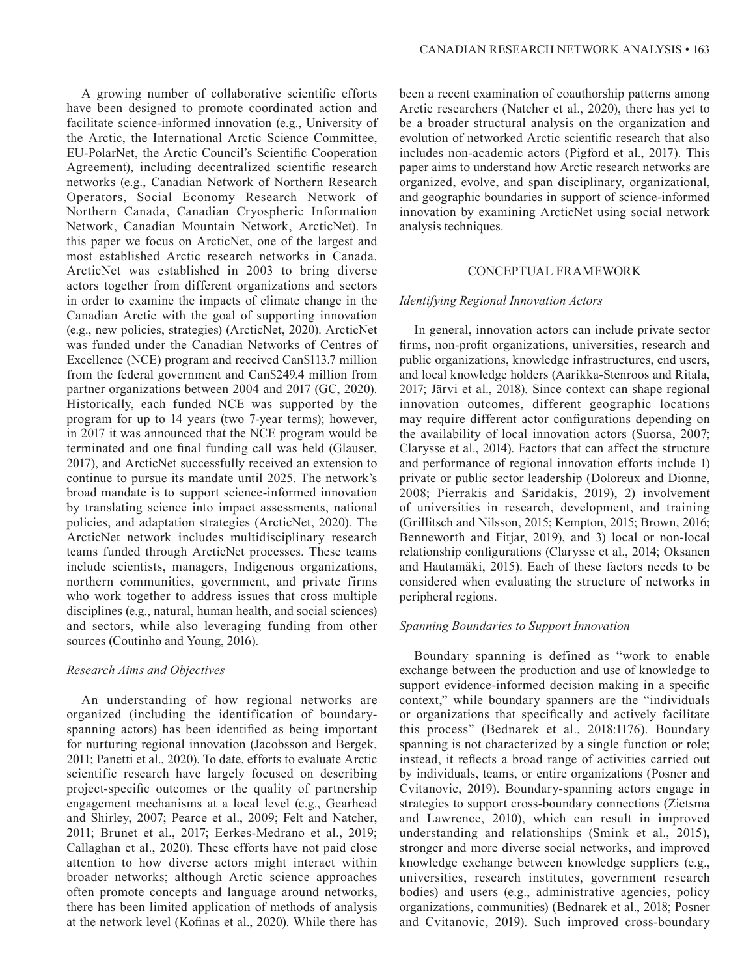A growing number of collaborative scientific efforts have been designed to promote coordinated action and facilitate science-informed innovation (e.g., University of the Arctic, the International Arctic Science Committee, EU-PolarNet, the Arctic Council's Scientific Cooperation Agreement), including decentralized scientific research networks (e.g., Canadian Network of Northern Research Operators, Social Economy Research Network of Northern Canada, Canadian Cryospheric Information Network, Canadian Mountain Network, ArcticNet). In this paper we focus on ArcticNet, one of the largest and most established Arctic research networks in Canada. ArcticNet was established in 2003 to bring diverse actors together from different organizations and sectors in order to examine the impacts of climate change in the Canadian Arctic with the goal of supporting innovation (e.g., new policies, strategies) (ArcticNet, 2020). ArcticNet was funded under the Canadian Networks of Centres of Excellence (NCE) program and received Can\$113.7 million from the federal government and Can\$249.4 million from partner organizations between 2004 and 2017 (GC, 2020). Historically, each funded NCE was supported by the program for up to 14 years (two 7-year terms); however, in 2017 it was announced that the NCE program would be terminated and one final funding call was held (Glauser, 2017), and ArcticNet successfully received an extension to continue to pursue its mandate until 2025. The network's broad mandate is to support science-informed innovation by translating science into impact assessments, national policies, and adaptation strategies (ArcticNet, 2020). The ArcticNet network includes multidisciplinary research teams funded through ArcticNet processes. These teams include scientists, managers, Indigenous organizations, northern communities, government, and private firms who work together to address issues that cross multiple disciplines (e.g., natural, human health, and social sciences) and sectors, while also leveraging funding from other sources (Coutinho and Young, 2016).

# *Research Aims and Objectives*

An understanding of how regional networks are organized (including the identification of boundaryspanning actors) has been identified as being important for nurturing regional innovation (Jacobsson and Bergek, 2011; Panetti et al., 2020). To date, efforts to evaluate Arctic scientific research have largely focused on describing project-specific outcomes or the quality of partnership engagement mechanisms at a local level (e.g., Gearhead and Shirley, 2007; Pearce et al., 2009; Felt and Natcher, 2011; Brunet et al., 2017; Eerkes-Medrano et al., 2019; Callaghan et al., 2020). These efforts have not paid close attention to how diverse actors might interact within broader networks; although Arctic science approaches often promote concepts and language around networks, there has been limited application of methods of analysis at the network level (Kofinas et al., 2020). While there has

been a recent examination of coauthorship patterns among Arctic researchers (Natcher et al., 2020), there has yet to be a broader structural analysis on the organization and evolution of networked Arctic scientific research that also includes non-academic actors (Pigford et al., 2017). This paper aims to understand how Arctic research networks are organized, evolve, and span disciplinary, organizational, and geographic boundaries in support of science-informed innovation by examining ArcticNet using social network analysis techniques.

# CONCEPTUAL FRAMEWORK

#### *Identifying Regional Innovation Actors*

In general, innovation actors can include private sector firms, non-profit organizations, universities, research and public organizations, knowledge infrastructures, end users, and local knowledge holders (Aarikka-Stenroos and Ritala, 2017; Järvi et al., 2018). Since context can shape regional innovation outcomes, different geographic locations may require different actor configurations depending on the availability of local innovation actors (Suorsa, 2007; Clarysse et al., 2014). Factors that can affect the structure and performance of regional innovation efforts include 1) private or public sector leadership (Doloreux and Dionne, 2008; Pierrakis and Saridakis, 2019), 2) involvement of universities in research, development, and training (Grillitsch and Nilsson, 2015; Kempton, 2015; Brown, 2016; Benneworth and Fitjar, 2019), and 3) local or non-local relationship configurations (Clarysse et al., 2014; Oksanen and Hautamäki, 2015). Each of these factors needs to be considered when evaluating the structure of networks in peripheral regions.

## *Spanning Boundaries to Support Innovation*

Boundary spanning is defined as "work to enable exchange between the production and use of knowledge to support evidence-informed decision making in a specific context," while boundary spanners are the "individuals or organizations that specifically and actively facilitate this process" (Bednarek et al., 2018:1176). Boundary spanning is not characterized by a single function or role; instead, it reflects a broad range of activities carried out by individuals, teams, or entire organizations (Posner and Cvitanovic, 2019). Boundary-spanning actors engage in strategies to support cross-boundary connections (Zietsma and Lawrence, 2010), which can result in improved understanding and relationships (Smink et al., 2015), stronger and more diverse social networks, and improved knowledge exchange between knowledge suppliers (e.g., universities, research institutes, government research bodies) and users (e.g., administrative agencies, policy organizations, communities) (Bednarek et al., 2018; Posner and Cvitanovic, 2019). Such improved cross-boundary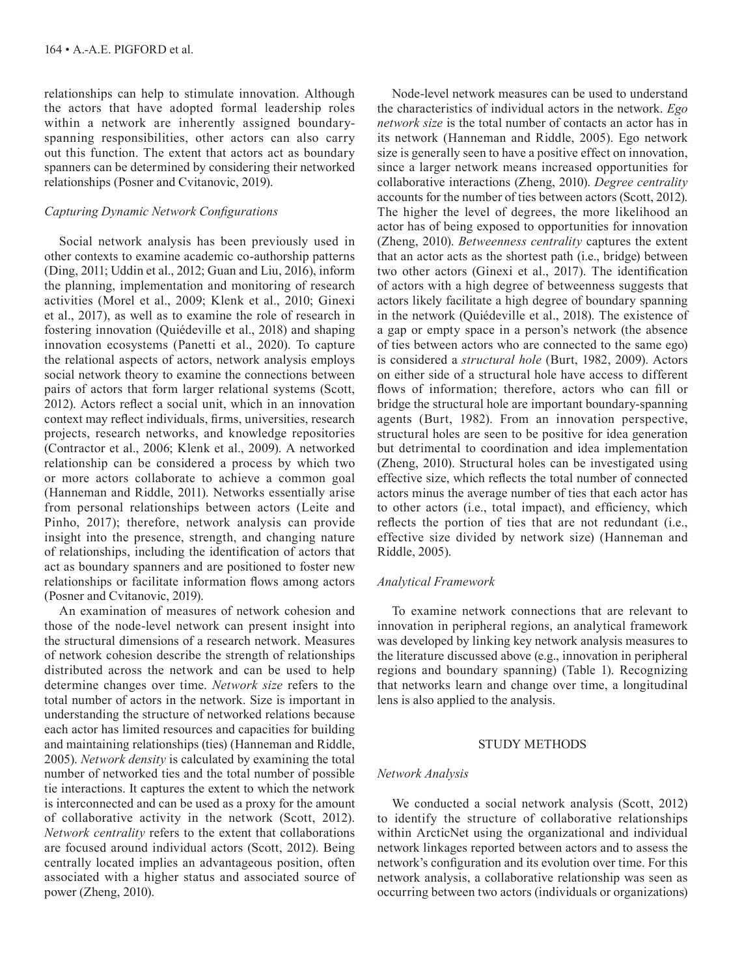relationships can help to stimulate innovation. Although the actors that have adopted formal leadership roles within a network are inherently assigned boundaryspanning responsibilities, other actors can also carry out this function. The extent that actors act as boundary spanners can be determined by considering their networked relationships (Posner and Cvitanovic, 2019).

# *Capturing Dynamic Network Configurations*

Social network analysis has been previously used in other contexts to examine academic co-authorship patterns (Ding, 2011; Uddin et al., 2012; Guan and Liu, 2016), inform the planning, implementation and monitoring of research activities (Morel et al., 2009; Klenk et al., 2010; Ginexi et al., 2017), as well as to examine the role of research in fostering innovation (Quiédeville et al., 2018) and shaping innovation ecosystems (Panetti et al., 2020). To capture the relational aspects of actors, network analysis employs social network theory to examine the connections between pairs of actors that form larger relational systems (Scott, 2012). Actors reflect a social unit, which in an innovation context may reflect individuals, firms, universities, research projects, research networks, and knowledge repositories (Contractor et al., 2006; Klenk et al., 2009). A networked relationship can be considered a process by which two or more actors collaborate to achieve a common goal (Hanneman and Riddle, 2011). Networks essentially arise from personal relationships between actors (Leite and Pinho, 2017); therefore, network analysis can provide insight into the presence, strength, and changing nature of relationships, including the identification of actors that act as boundary spanners and are positioned to foster new relationships or facilitate information flows among actors (Posner and Cvitanovic, 2019).

An examination of measures of network cohesion and those of the node-level network can present insight into the structural dimensions of a research network. Measures of network cohesion describe the strength of relationships distributed across the network and can be used to help determine changes over time. *Network size* refers to the total number of actors in the network. Size is important in understanding the structure of networked relations because each actor has limited resources and capacities for building and maintaining relationships (ties) (Hanneman and Riddle, 2005). *Network density* is calculated by examining the total number of networked ties and the total number of possible tie interactions. It captures the extent to which the network is interconnected and can be used as a proxy for the amount of collaborative activity in the network (Scott, 2012). *Network centrality* refers to the extent that collaborations are focused around individual actors (Scott, 2012). Being centrally located implies an advantageous position, often associated with a higher status and associated source of power (Zheng, 2010).

Node-level network measures can be used to understand the characteristics of individual actors in the network. *Ego network size* is the total number of contacts an actor has in its network (Hanneman and Riddle, 2005). Ego network size is generally seen to have a positive effect on innovation, since a larger network means increased opportunities for collaborative interactions (Zheng, 2010). *Degree centrality* accounts for the number of ties between actors (Scott, 2012). The higher the level of degrees, the more likelihood an actor has of being exposed to opportunities for innovation (Zheng, 2010). *Betweenness centrality* captures the extent that an actor acts as the shortest path (i.e., bridge) between two other actors (Ginexi et al., 2017). The identification of actors with a high degree of betweenness suggests that actors likely facilitate a high degree of boundary spanning in the network (Quiédeville et al., 2018). The existence of a gap or empty space in a person's network (the absence of ties between actors who are connected to the same ego) is considered a *structural hole* (Burt, 1982, 2009). Actors on either side of a structural hole have access to different flows of information; therefore, actors who can fill or bridge the structural hole are important boundary-spanning agents (Burt, 1982). From an innovation perspective, structural holes are seen to be positive for idea generation but detrimental to coordination and idea implementation (Zheng, 2010). Structural holes can be investigated using effective size, which reflects the total number of connected actors minus the average number of ties that each actor has to other actors (i.e., total impact), and efficiency, which reflects the portion of ties that are not redundant (i.e., effective size divided by network size) (Hanneman and Riddle, 2005).

# *Analytical Framework*

To examine network connections that are relevant to innovation in peripheral regions, an analytical framework was developed by linking key network analysis measures to the literature discussed above (e.g., innovation in peripheral regions and boundary spanning) (Table 1). Recognizing that networks learn and change over time, a longitudinal lens is also applied to the analysis.

#### STUDY METHODS

#### *Network Analysis*

We conducted a social network analysis (Scott, 2012) to identify the structure of collaborative relationships within ArcticNet using the organizational and individual network linkages reported between actors and to assess the network's configuration and its evolution over time. For this network analysis, a collaborative relationship was seen as occurring between two actors (individuals or organizations)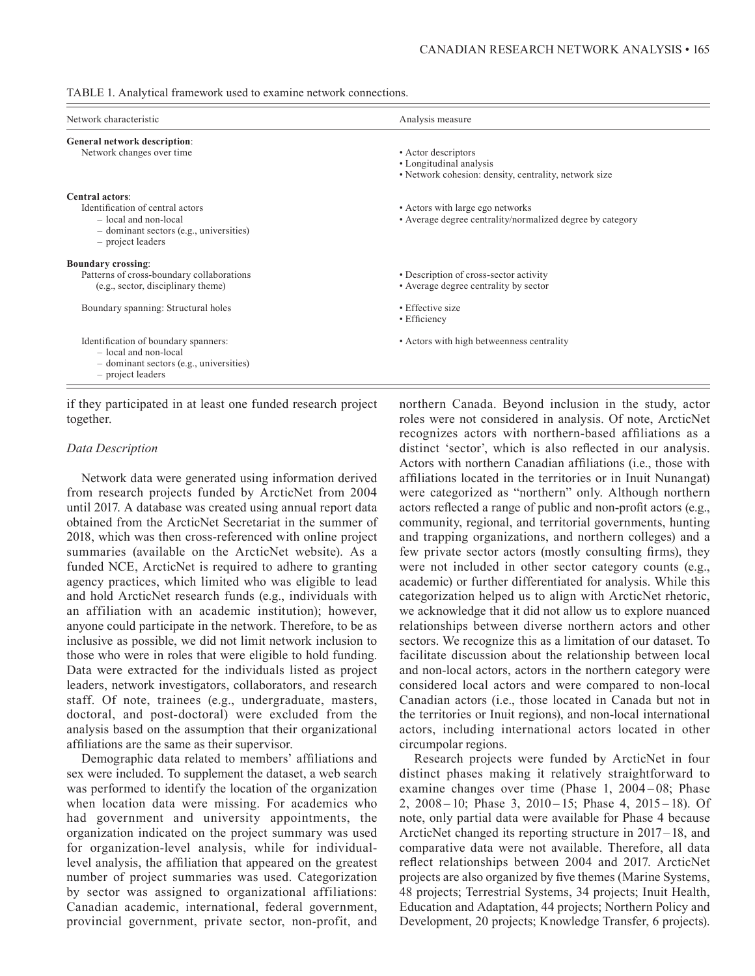|  | TABLE 1. Analytical framework used to examine network connections. |
|--|--------------------------------------------------------------------|
|  |                                                                    |

| Network characteristic                                                                                                                              | Analysis measure                                                                                        |
|-----------------------------------------------------------------------------------------------------------------------------------------------------|---------------------------------------------------------------------------------------------------------|
| General network description:<br>Network changes over time                                                                                           | • Actor descriptors<br>• Longitudinal analysis<br>• Network cohesion: density, centrality, network size |
| Central actors:<br>Identification of central actors<br>- local and non-local<br>$-$ dominant sectors (e.g., universities)<br>- project leaders      | • Actors with large ego networks<br>• Average degree centrality/normalized degree by category           |
| <b>Boundary crossing:</b><br>Patterns of cross-boundary collaborations<br>(e.g., sector, disciplinary theme)<br>Boundary spanning: Structural holes | • Description of cross-sector activity<br>• Average degree centrality by sector<br>• Effective size     |
| Identification of boundary spanners:<br>- local and non-local<br>- dominant sectors (e.g., universities)<br>$-$ project leaders                     | • Efficiency<br>• Actors with high betweenness centrality                                               |

if they participated in at least one funded research project together.

#### *Data Description*

Network data were generated using information derived from research projects funded by ArcticNet from 2004 until 2017. A database was created using annual report data obtained from the ArcticNet Secretariat in the summer of 2018, which was then cross-referenced with online project summaries (available on the ArcticNet website). As a funded NCE, ArcticNet is required to adhere to granting agency practices, which limited who was eligible to lead and hold ArcticNet research funds (e.g., individuals with an affiliation with an academic institution); however, anyone could participate in the network. Therefore, to be as inclusive as possible, we did not limit network inclusion to those who were in roles that were eligible to hold funding. Data were extracted for the individuals listed as project leaders, network investigators, collaborators, and research staff. Of note, trainees (e.g., undergraduate, masters, doctoral, and post-doctoral) were excluded from the analysis based on the assumption that their organizational affiliations are the same as their supervisor.

Demographic data related to members' affiliations and sex were included. To supplement the dataset, a web search was performed to identify the location of the organization when location data were missing. For academics who had government and university appointments, the organization indicated on the project summary was used for organization-level analysis, while for individuallevel analysis, the affiliation that appeared on the greatest number of project summaries was used. Categorization by sector was assigned to organizational affiliations: Canadian academic, international, federal government, provincial government, private sector, non-profit, and

northern Canada. Beyond inclusion in the study, actor roles were not considered in analysis. Of note, ArcticNet recognizes actors with northern-based affiliations as a distinct 'sector', which is also reflected in our analysis. Actors with northern Canadian affiliations (i.e., those with affiliations located in the territories or in Inuit Nunangat) were categorized as "northern" only. Although northern actors reflected a range of public and non-profit actors (e.g., community, regional, and territorial governments, hunting and trapping organizations, and northern colleges) and a few private sector actors (mostly consulting firms), they were not included in other sector category counts (e.g., academic) or further differentiated for analysis. While this categorization helped us to align with ArcticNet rhetoric, we acknowledge that it did not allow us to explore nuanced relationships between diverse northern actors and other sectors. We recognize this as a limitation of our dataset. To facilitate discussion about the relationship between local and non-local actors, actors in the northern category were considered local actors and were compared to non-local Canadian actors (i.e., those located in Canada but not in the territories or Inuit regions), and non-local international actors, including international actors located in other circumpolar regions.

Research projects were funded by ArcticNet in four distinct phases making it relatively straightforward to examine changes over time (Phase 1, 2004–08; Phase 2, 2008 – 10; Phase 3, 2010 – 15; Phase 4, 2015 – 18). Of note, only partial data were available for Phase 4 because ArcticNet changed its reporting structure in 2017 – 18, and comparative data were not available. Therefore, all data reflect relationships between 2004 and 2017. ArcticNet projects are also organized by five themes (Marine Systems, 48 projects; Terrestrial Systems, 34 projects; Inuit Health, Education and Adaptation, 44 projects; Northern Policy and Development, 20 projects; Knowledge Transfer, 6 projects).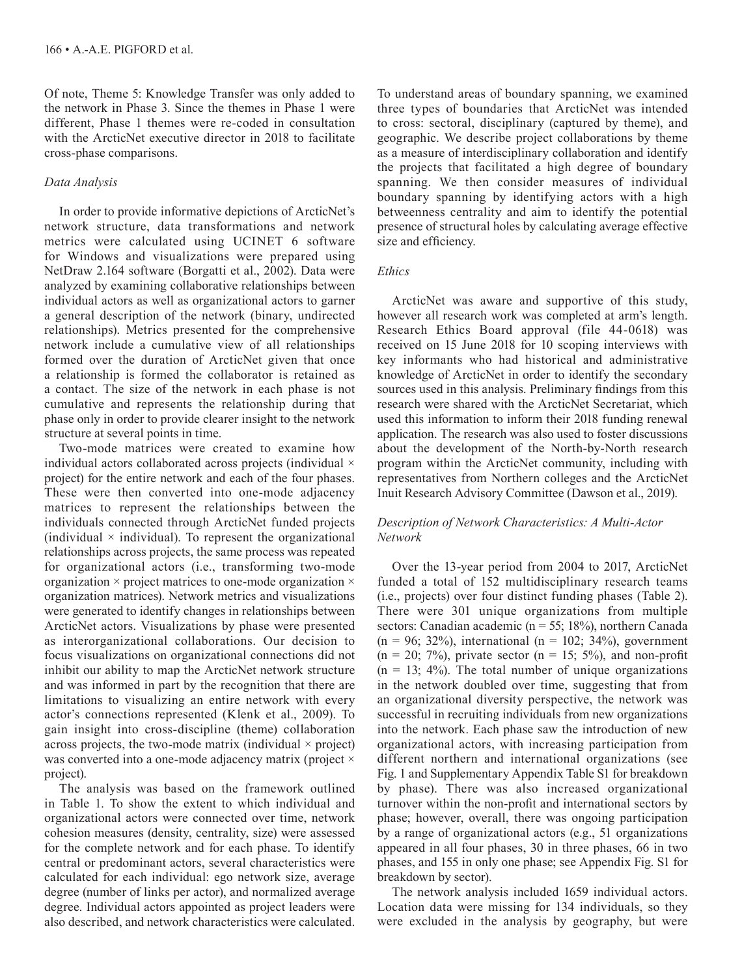Of note, Theme 5: Knowledge Transfer was only added to the network in Phase 3. Since the themes in Phase 1 were different, Phase 1 themes were re-coded in consultation with the ArcticNet executive director in 2018 to facilitate cross-phase comparisons.

# *Data Analysis*

In order to provide informative depictions of ArcticNet's network structure, data transformations and network metrics were calculated using UCINET 6 software for Windows and visualizations were prepared using NetDraw 2.164 software (Borgatti et al., 2002). Data were analyzed by examining collaborative relationships between individual actors as well as organizational actors to garner a general description of the network (binary, undirected relationships). Metrics presented for the comprehensive network include a cumulative view of all relationships formed over the duration of ArcticNet given that once a relationship is formed the collaborator is retained as a contact. The size of the network in each phase is not cumulative and represents the relationship during that phase only in order to provide clearer insight to the network structure at several points in time.

Two-mode matrices were created to examine how individual actors collaborated across projects (individual × project) for the entire network and each of the four phases. These were then converted into one-mode adjacency matrices to represent the relationships between the individuals connected through ArcticNet funded projects (individual  $\times$  individual). To represent the organizational relationships across projects, the same process was repeated for organizational actors (i.e., transforming two-mode organization  $\times$  project matrices to one-mode organization  $\times$ organization matrices). Network metrics and visualizations were generated to identify changes in relationships between ArcticNet actors. Visualizations by phase were presented as interorganizational collaborations. Our decision to focus visualizations on organizational connections did not inhibit our ability to map the ArcticNet network structure and was informed in part by the recognition that there are limitations to visualizing an entire network with every actor's connections represented (Klenk et al., 2009). To gain insight into cross-discipline (theme) collaboration across projects, the two-mode matrix (individual  $\times$  project) was converted into a one-mode adjacency matrix (project  $\times$ project).

The analysis was based on the framework outlined in Table 1. To show the extent to which individual and organizational actors were connected over time, network cohesion measures (density, centrality, size) were assessed for the complete network and for each phase. To identify central or predominant actors, several characteristics were calculated for each individual: ego network size, average degree (number of links per actor), and normalized average degree. Individual actors appointed as project leaders were also described, and network characteristics were calculated.

To understand areas of boundary spanning, we examined three types of boundaries that ArcticNet was intended to cross: sectoral, disciplinary (captured by theme), and geographic. We describe project collaborations by theme as a measure of interdisciplinary collaboration and identify the projects that facilitated a high degree of boundary spanning. We then consider measures of individual boundary spanning by identifying actors with a high betweenness centrality and aim to identify the potential presence of structural holes by calculating average effective size and efficiency.

# *Ethics*

ArcticNet was aware and supportive of this study, however all research work was completed at arm's length. Research Ethics Board approval (file 44-0618) was received on 15 June 2018 for 10 scoping interviews with key informants who had historical and administrative knowledge of ArcticNet in order to identify the secondary sources used in this analysis. Preliminary findings from this research were shared with the ArcticNet Secretariat, which used this information to inform their 2018 funding renewal application. The research was also used to foster discussions about the development of the North-by-North research program within the ArcticNet community, including with representatives from Northern colleges and the ArcticNet Inuit Research Advisory Committee (Dawson et al., 2019).

# *Description of Network Characteristics: A Multi-Actor Network*

Over the 13-year period from 2004 to 2017, ArcticNet funded a total of 152 multidisciplinary research teams (i.e., projects) over four distinct funding phases (Table 2). There were 301 unique organizations from multiple sectors: Canadian academic (n = 55; 18%), northern Canada  $(n = 96; 32\%)$ , international  $(n = 102; 34\%)$ , government  $(n = 20; 7\%)$ , private sector  $(n = 15; 5\%)$ , and non-profit  $(n = 13; 4\%)$ . The total number of unique organizations in the network doubled over time, suggesting that from an organizational diversity perspective, the network was successful in recruiting individuals from new organizations into the network. Each phase saw the introduction of new organizational actors, with increasing participation from different northern and international organizations (see Fig. 1 and Supplementary Appendix Table S1 for breakdown by phase). There was also increased organizational turnover within the non-profit and international sectors by phase; however, overall, there was ongoing participation by a range of organizational actors (e.g., 51 organizations appeared in all four phases, 30 in three phases, 66 in two phases, and 155 in only one phase; see Appendix Fig. S1 for breakdown by sector).

The network analysis included 1659 individual actors. Location data were missing for 134 individuals, so they were excluded in the analysis by geography, but were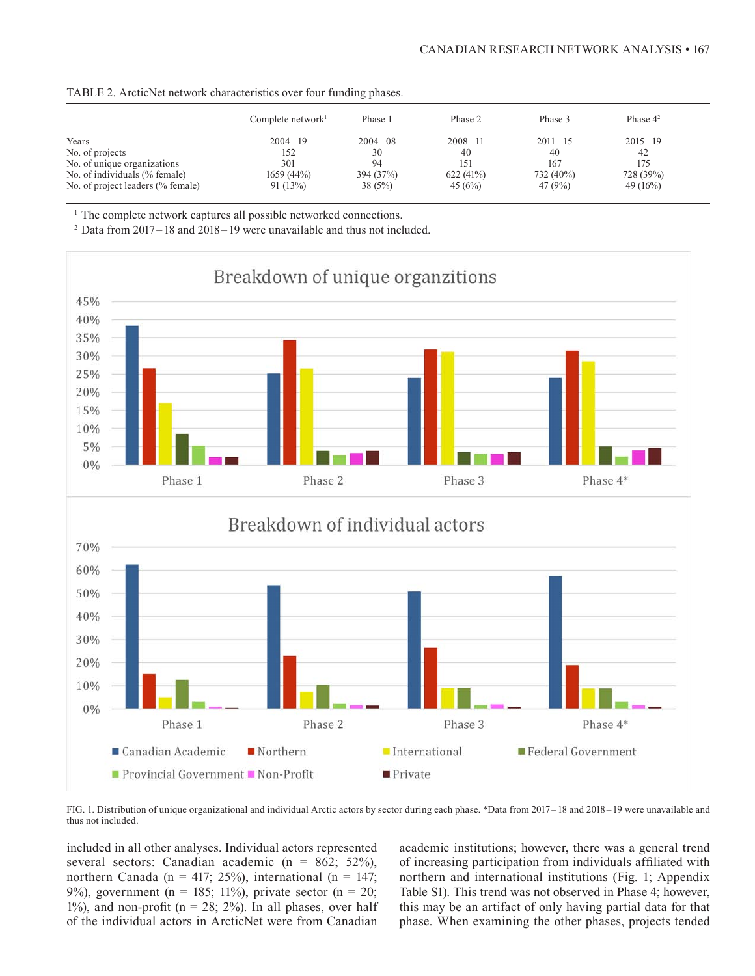| TABLE 2. ArcticNet network characteristics over four funding phases. |  |  |
|----------------------------------------------------------------------|--|--|
|----------------------------------------------------------------------|--|--|

|                                   | Complete network $\mathbf{r}$ | Phase 1     | Phase 2         | Phase 3     | Phase $4^2$ |
|-----------------------------------|-------------------------------|-------------|-----------------|-------------|-------------|
| Years                             | $2004 - 19$                   | $2004 - 08$ | $2008 - 11$     | $2011 - 15$ | $2015 - 19$ |
| No. of projects                   | 152                           | 30          | 40              | 40          | 42          |
| No. of unique organizations       | 301                           | 94          | 15 <sup>1</sup> | 167         | 175         |
| No. of individuals (% female)     | 1659(44%)                     | 394 (37%)   | 622(41%)        | 732 (40%)   | 728 (39%)   |
| No. of project leaders (% female) | 91(13%)                       | 38(5%)      | 45 $(6%)$       | 47 (9%)     | 49 $(16%)$  |

<sup>1</sup> The complete network captures all possible networked connections.<br><sup>2</sup> Data from 2017–18 and 2018–19 were unavailable and thus not included.



FIG. 1. Distribution of unique organizational and individual Arctic actors by sector during each phase. \*Data from 2017 –18 and 2018 –19 were unavailable and thus not included.

included in all other analyses. Individual actors represented several sectors: Canadian academic ( $n = 862$ ; 52%), northern Canada (n = 417; 25%), international (n = 147; 9%), government (n = 185; 11%), private sector (n = 20; 1%), and non-profit ( $n = 28$ ; 2%). In all phases, over half of the individual actors in ArcticNet were from Canadian

academic institutions; however, there was a general trend of increasing participation from individuals affiliated with northern and international institutions (Fig. 1; Appendix Table S1). This trend was not observed in Phase 4; however, this may be an artifact of only having partial data for that phase. When examining the other phases, projects tended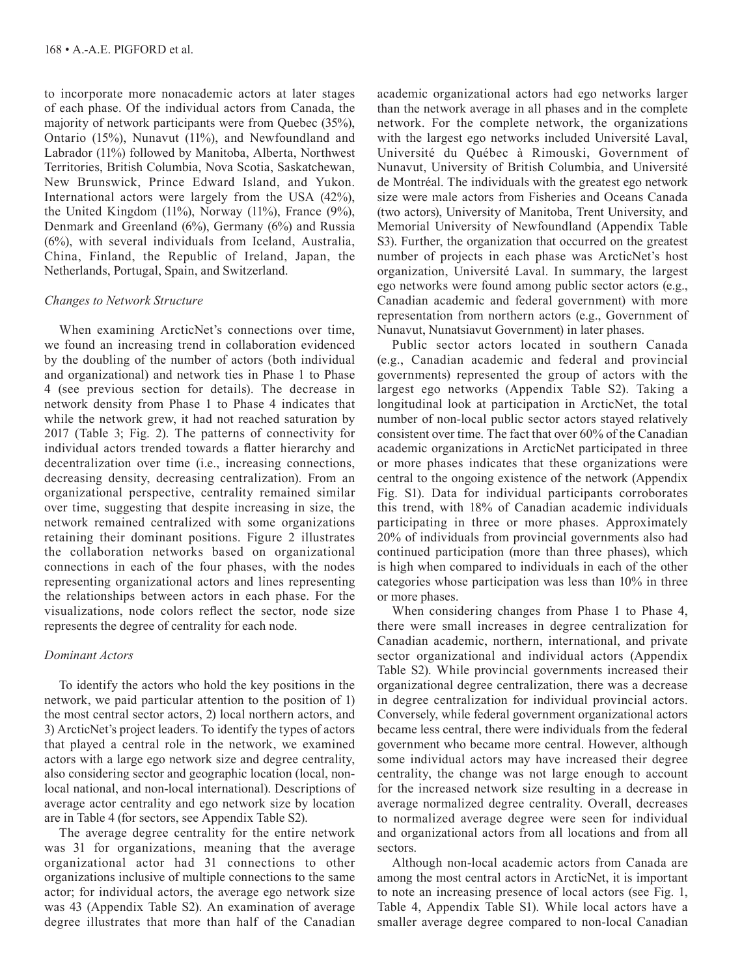to incorporate more nonacademic actors at later stages of each phase. Of the individual actors from Canada, the majority of network participants were from Quebec (35%), Ontario (15%), Nunavut (11%), and Newfoundland and Labrador (11%) followed by Manitoba, Alberta, Northwest Territories, British Columbia, Nova Scotia, Saskatchewan, New Brunswick, Prince Edward Island, and Yukon. International actors were largely from the USA (42%), the United Kingdom  $(11\%)$ , Norway  $(11\%)$ , France  $(9\%)$ , Denmark and Greenland (6%), Germany (6%) and Russia (6%), with several individuals from Iceland, Australia, China, Finland, the Republic of Ireland, Japan, the Netherlands, Portugal, Spain, and Switzerland.

# *Changes to Network Structure*

When examining ArcticNet's connections over time, we found an increasing trend in collaboration evidenced by the doubling of the number of actors (both individual and organizational) and network ties in Phase 1 to Phase 4 (see previous section for details). The decrease in network density from Phase 1 to Phase 4 indicates that while the network grew, it had not reached saturation by 2017 (Table 3; Fig. 2). The patterns of connectivity for individual actors trended towards a flatter hierarchy and decentralization over time (i.e., increasing connections, decreasing density, decreasing centralization). From an organizational perspective, centrality remained similar over time, suggesting that despite increasing in size, the network remained centralized with some organizations retaining their dominant positions. Figure 2 illustrates the collaboration networks based on organizational connections in each of the four phases, with the nodes representing organizational actors and lines representing the relationships between actors in each phase. For the visualizations, node colors reflect the sector, node size represents the degree of centrality for each node.

# *Dominant Actors*

To identify the actors who hold the key positions in the network, we paid particular attention to the position of 1) the most central sector actors, 2) local northern actors, and 3) ArcticNet's project leaders. To identify the types of actors that played a central role in the network, we examined actors with a large ego network size and degree centrality, also considering sector and geographic location (local, nonlocal national, and non-local international). Descriptions of average actor centrality and ego network size by location are in Table 4 (for sectors, see Appendix Table S2).

The average degree centrality for the entire network was 31 for organizations, meaning that the average organizational actor had 31 connections to other organizations inclusive of multiple connections to the same actor; for individual actors, the average ego network size was 43 (Appendix Table S2). An examination of average degree illustrates that more than half of the Canadian academic organizational actors had ego networks larger than the network average in all phases and in the complete network. For the complete network, the organizations with the largest ego networks included Université Laval, Université du Québec à Rimouski, Government of Nunavut, University of British Columbia, and Université de Montréal. The individuals with the greatest ego network size were male actors from Fisheries and Oceans Canada (two actors), University of Manitoba, Trent University, and Memorial University of Newfoundland (Appendix Table S3). Further, the organization that occurred on the greatest number of projects in each phase was ArcticNet's host organization, Université Laval. In summary, the largest ego networks were found among public sector actors (e.g., Canadian academic and federal government) with more representation from northern actors (e.g., Government of Nunavut, Nunatsiavut Government) in later phases.

Public sector actors located in southern Canada (e.g., Canadian academic and federal and provincial governments) represented the group of actors with the largest ego networks (Appendix Table S2). Taking a longitudinal look at participation in ArcticNet, the total number of non-local public sector actors stayed relatively consistent over time. The fact that over 60% of the Canadian academic organizations in ArcticNet participated in three or more phases indicates that these organizations were central to the ongoing existence of the network (Appendix Fig. S1). Data for individual participants corroborates this trend, with 18% of Canadian academic individuals participating in three or more phases. Approximately 20% of individuals from provincial governments also had continued participation (more than three phases), which is high when compared to individuals in each of the other categories whose participation was less than 10% in three or more phases.

When considering changes from Phase 1 to Phase 4, there were small increases in degree centralization for Canadian academic, northern, international, and private sector organizational and individual actors (Appendix Table S2). While provincial governments increased their organizational degree centralization, there was a decrease in degree centralization for individual provincial actors. Conversely, while federal government organizational actors became less central, there were individuals from the federal government who became more central. However, although some individual actors may have increased their degree centrality, the change was not large enough to account for the increased network size resulting in a decrease in average normalized degree centrality. Overall, decreases to normalized average degree were seen for individual and organizational actors from all locations and from all sectors.

Although non-local academic actors from Canada are among the most central actors in ArcticNet, it is important to note an increasing presence of local actors (see Fig. 1, Table 4, Appendix Table S1). While local actors have a smaller average degree compared to non-local Canadian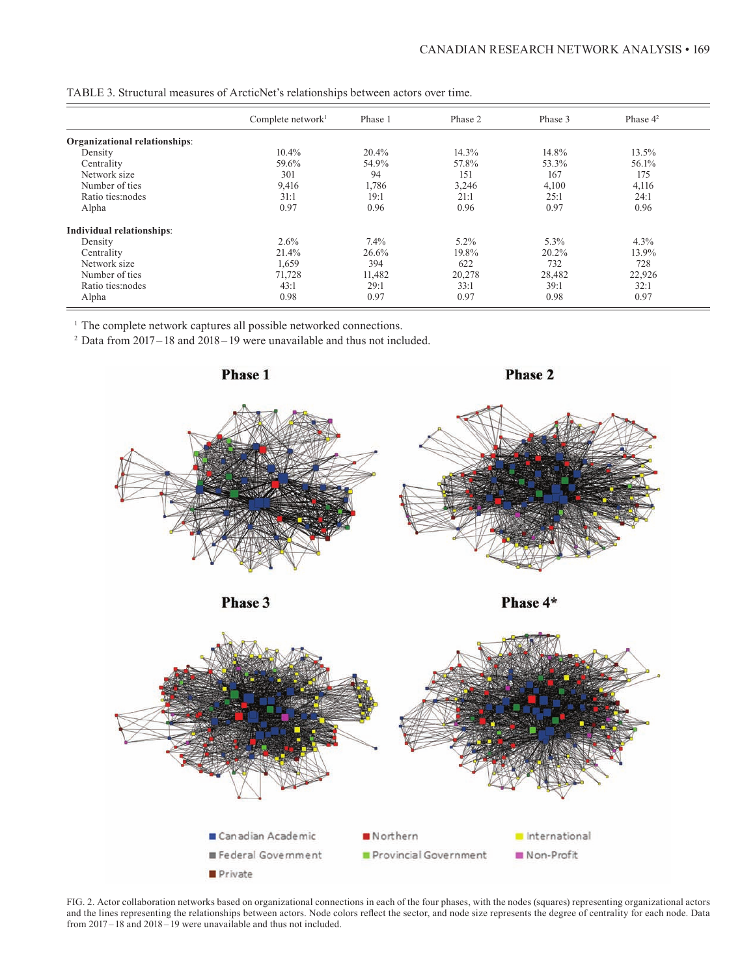|                               | Complete network $l$ | Phase 1 | Phase 2 | Phase 3 | Phase $4^2$ |
|-------------------------------|----------------------|---------|---------|---------|-------------|
| Organizational relationships: |                      |         |         |         |             |
| Density                       | 10.4%                | 20.4%   | 14.3%   | 14.8%   | 13.5%       |
| Centrality                    | 59.6%                | 54.9%   | 57.8%   | 53.3%   | 56.1%       |
| Network size                  | 301                  | 94      | 151     | 167     | 175         |
| Number of ties                | 9,416                | 1,786   | 3,246   | 4,100   | 4,116       |
| Ratio ties:nodes              | 31:1                 | 19:1    | 21:1    | 25:1    | 24:1        |
| Alpha                         | 0.97                 | 0.96    | 0.96    | 0.97    | 0.96        |
| Individual relationships:     |                      |         |         |         |             |
| Density                       | 2.6%                 | 7.4%    | $5.2\%$ | 5.3%    | 4.3%        |
| Centrality                    | 21.4%                | 26.6%   | 19.8%   | 20.2%   | 13.9%       |
| Network size                  | 1,659                | 394     | 622     | 732     | 728         |
| Number of ties                | 71,728               | 11,482  | 20,278  | 28,482  | 22,926      |
| Ratio ties: nodes             | 43:1                 | 29:1    | 33:1    | 39:1    | 32:1        |
| Alpha                         | 0.98                 | 0.97    | 0.97    | 0.98    | 0.97        |

TABLE 3. Structural measures of ArcticNet's relationships between actors over time.

<sup>1</sup> The complete network captures all possible networked connections.<br><sup>2</sup> Data from 2017–18 and 2018–19 were unavailable and thus not included.



FIG. 2. Actor collaboration networks based on organizational connections in each of the four phases, with the nodes (squares) representing organizational actors and the lines representing the relationships between actors. Node colors reflect the sector, and node size represents the degree of centrality for each node. Data from 2017–18 and 2018–19 were unavailable and thus not included.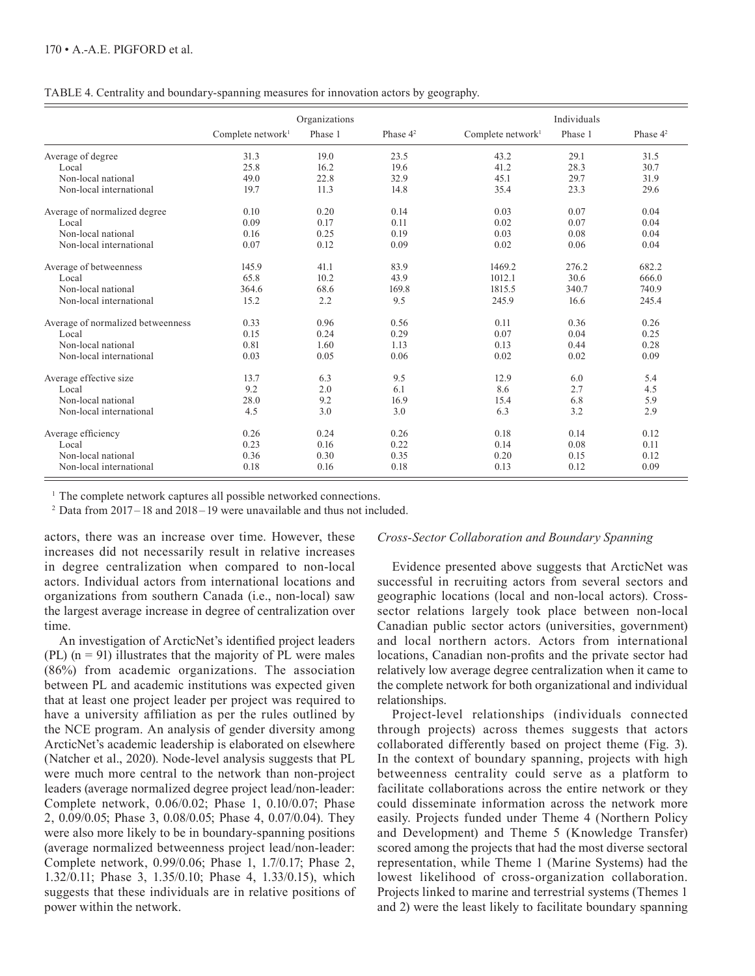|  | TABLE 4. Centrality and boundary-spanning measures for innovation actors by geography. |  |  |
|--|----------------------------------------------------------------------------------------|--|--|
|  |                                                                                        |  |  |

|                                   | Organizations        |         |             | Individuals          |         |             |
|-----------------------------------|----------------------|---------|-------------|----------------------|---------|-------------|
|                                   | Complete network $l$ | Phase 1 | Phase $4^2$ | Complete network $l$ | Phase 1 | Phase $4^2$ |
| Average of degree                 | 31.3                 | 19.0    | 23.5        | 43.2                 | 29.1    | 31.5        |
| Local                             | 25.8                 | 16.2    | 19.6        | 41.2                 | 28.3    | 30.7        |
| Non-local national                | 49.0                 | 22.8    | 32.9        | 45.1                 | 29.7    | 31.9        |
| Non-local international           | 19.7                 | 11.3    | 14.8        | 35.4                 | 23.3    | 29.6        |
| Average of normalized degree      | 0.10                 | 0.20    | 0.14        | 0.03                 | 0.07    | 0.04        |
| Local                             | 0.09                 | 0.17    | 0.11        | 0.02                 | 0.07    | 0.04        |
| Non-local national                | 0.16                 | 0.25    | 0.19        | 0.03                 | 0.08    | 0.04        |
| Non-local international           | 0.07                 | 0.12    | 0.09        | 0.02                 | 0.06    | 0.04        |
| Average of betweenness            | 145.9                | 41.1    | 83.9        | 1469.2               | 276.2   | 682.2       |
| Local                             | 65.8                 | 10.2    | 43.9        | 1012.1               | 30.6    | 666.0       |
| Non-local national                | 364.6                | 68.6    | 169.8       | 1815.5               | 340.7   | 740.9       |
| Non-local international           | 15.2                 | 2.2     | 9.5         | 245.9                | 16.6    | 245.4       |
| Average of normalized betweenness | 0.33                 | 0.96    | 0.56        | 0.11                 | 0.36    | 0.26        |
| Local                             | 0.15                 | 0.24    | 0.29        | 0.07                 | 0.04    | 0.25        |
| Non-local national                | 0.81                 | 1.60    | 1.13        | 0.13                 | 0.44    | 0.28        |
| Non-local international           | 0.03                 | 0.05    | 0.06        | 0.02                 | 0.02    | 0.09        |
| Average effective size            | 13.7                 | 6.3     | 9.5         | 12.9                 | 6.0     | 5.4         |
| Local                             | 9.2                  | 2.0     | 6.1         | 8.6                  | 2.7     | 4.5         |
| Non-local national                | 28.0                 | 9.2     | 16.9        | 15.4                 | 6.8     | 5.9         |
| Non-local international           | 4.5                  | 3.0     | 3.0         | 6.3                  | 3.2     | 2.9         |
| Average efficiency                | 0.26                 | 0.24    | 0.26        | 0.18                 | 0.14    | 0.12        |
| Local                             | 0.23                 | 0.16    | 0.22        | 0.14                 | 0.08    | 0.11        |
| Non-local national                | 0.36                 | 0.30    | 0.35        | 0.20                 | 0.15    | 0.12        |
| Non-local international           | 0.18                 | 0.16    | 0.18        | 0.13                 | 0.12    | 0.09        |

<sup>1</sup> The complete network captures all possible networked connections.<br><sup>2</sup> Data from 2017–18 and 2018–19 were unavailable and thus not included.

actors, there was an increase over time. However, these increases did not necessarily result in relative increases in degree centralization when compared to non-local actors. Individual actors from international locations and organizations from southern Canada (i.e., non-local) saw the largest average increase in degree of centralization over time.

An investigation of ArcticNet's identified project leaders (PL)  $(n = 91)$  illustrates that the majority of PL were males (86%) from academic organizations. The association between PL and academic institutions was expected given that at least one project leader per project was required to have a university affiliation as per the rules outlined by the NCE program. An analysis of gender diversity among ArcticNet's academic leadership is elaborated on elsewhere (Natcher et al., 2020). Node-level analysis suggests that PL were much more central to the network than non-project leaders (average normalized degree project lead/non-leader: Complete network, 0.06/0.02; Phase 1, 0.10/0.07; Phase 2, 0.09/0.05; Phase 3, 0.08/0.05; Phase 4, 0.07/0.04). They were also more likely to be in boundary-spanning positions (average normalized betweenness project lead/non-leader: Complete network, 0.99/0.06; Phase 1, 1.7/0.17; Phase 2, 1.32/0.11; Phase 3, 1.35/0.10; Phase 4, 1.33/0.15), which suggests that these individuals are in relative positions of power within the network.

## *Cross-Sector Collaboration and Boundary Spanning*

Evidence presented above suggests that ArcticNet was successful in recruiting actors from several sectors and geographic locations (local and non-local actors). Crosssector relations largely took place between non-local Canadian public sector actors (universities, government) and local northern actors. Actors from international locations, Canadian non-profits and the private sector had relatively low average degree centralization when it came to the complete network for both organizational and individual relationships.

Project-level relationships (individuals connected through projects) across themes suggests that actors collaborated differently based on project theme (Fig. 3). In the context of boundary spanning, projects with high betweenness centrality could serve as a platform to facilitate collaborations across the entire network or they could disseminate information across the network more easily. Projects funded under Theme 4 (Northern Policy and Development) and Theme 5 (Knowledge Transfer) scored among the projects that had the most diverse sectoral representation, while Theme 1 (Marine Systems) had the lowest likelihood of cross-organization collaboration. Projects linked to marine and terrestrial systems (Themes 1 and 2) were the least likely to facilitate boundary spanning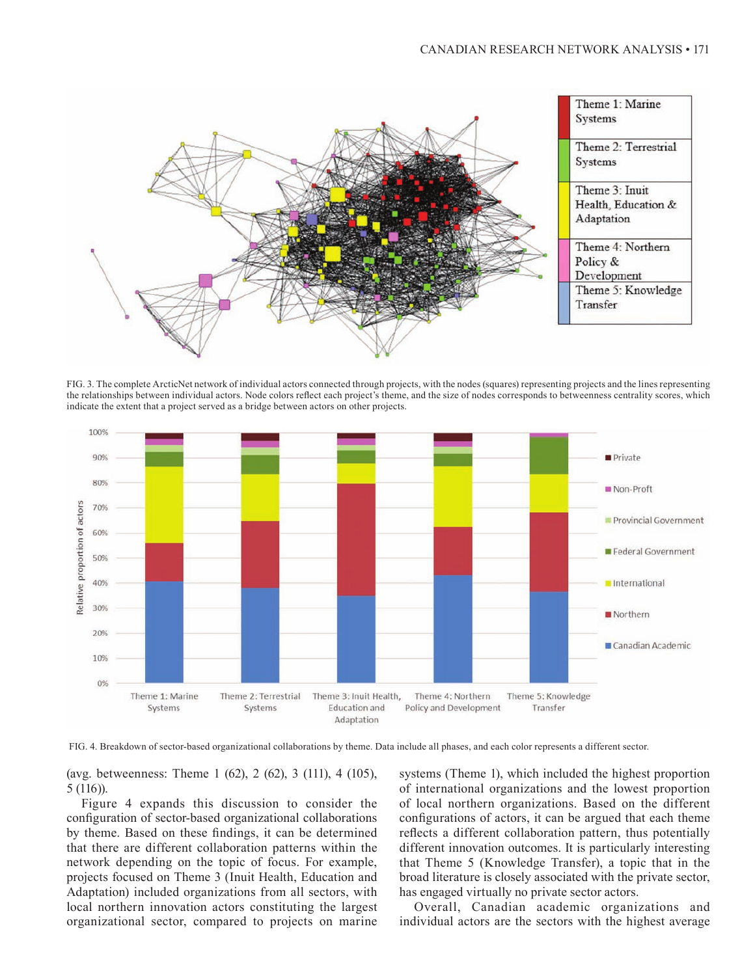

FIG. 3. The complete ArcticNet network of individual actors connected through projects, with the nodes (squares) representing projects and the lines representing the relationships between individual actors. Node colors reflect each project's theme, and the size of nodes corresponds to betweenness centrality scores, which indicate the extent that a project served as a bridge between actors on other projects.





(avg. betweenness: Theme 1 (62), 2 (62), 3 (111), 4 (105), 5 (116)).

Figure 4 expands this discussion to consider the configuration of sector-based organizational collaborations by theme. Based on these findings, it can be determined that there are different collaboration patterns within the network depending on the topic of focus. For example, projects focused on Theme 3 (Inuit Health, Education and Adaptation) included organizations from all sectors, with local northern innovation actors constituting the largest organizational sector, compared to projects on marine

systems (Theme 1), which included the highest proportion of international organizations and the lowest proportion of local northern organizations. Based on the different configurations of actors, it can be argued that each theme reflects a different collaboration pattern, thus potentially different innovation outcomes. It is particularly interesting that Theme 5 (Knowledge Transfer), a topic that in the broad literature is closely associated with the private sector, has engaged virtually no private sector actors.

Overall, Canadian academic organizations and individual actors are the sectors with the highest average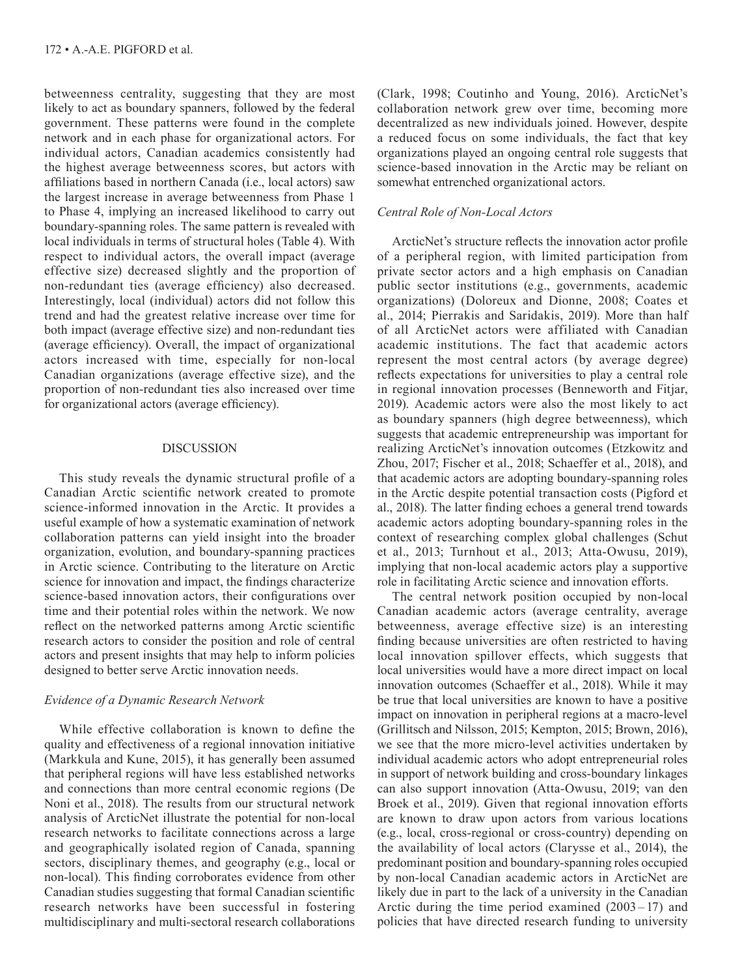betweenness centrality, suggesting that they are most likely to act as boundary spanners, followed by the federal government. These patterns were found in the complete network and in each phase for organizational actors. For individual actors, Canadian academics consistently had the highest average betweenness scores, but actors with affiliations based in northern Canada (i.e., local actors) saw the largest increase in average betweenness from Phase 1 to Phase 4, implying an increased likelihood to carry out boundary-spanning roles. The same pattern is revealed with local individuals in terms of structural holes (Table 4). With respect to individual actors, the overall impact (average effective size) decreased slightly and the proportion of non-redundant ties (average efficiency) also decreased. Interestingly, local (individual) actors did not follow this trend and had the greatest relative increase over time for both impact (average effective size) and non-redundant ties (average efficiency). Overall, the impact of organizational actors increased with time, especially for non-local Canadian organizations (average effective size), and the proportion of non-redundant ties also increased over time for organizational actors (average efficiency).

# DISCUSSION

This study reveals the dynamic structural profile of a Canadian Arctic scientific network created to promote science-informed innovation in the Arctic. It provides a useful example of how a systematic examination of network collaboration patterns can yield insight into the broader organization, evolution, and boundary-spanning practices in Arctic science. Contributing to the literature on Arctic science for innovation and impact, the findings characterize science-based innovation actors, their configurations over time and their potential roles within the network. We now reflect on the networked patterns among Arctic scientific research actors to consider the position and role of central actors and present insights that may help to inform policies designed to better serve Arctic innovation needs.

# *Evidence of a Dynamic Research Network*

While effective collaboration is known to define the quality and effectiveness of a regional innovation initiative (Markkula and Kune, 2015), it has generally been assumed that peripheral regions will have less established networks and connections than more central economic regions (De Noni et al., 2018). The results from our structural network analysis of ArcticNet illustrate the potential for non-local research networks to facilitate connections across a large and geographically isolated region of Canada, spanning sectors, disciplinary themes, and geography (e.g., local or non-local). This finding corroborates evidence from other Canadian studies suggesting that formal Canadian scientific research networks have been successful in fostering multidisciplinary and multi-sectoral research collaborations

(Clark, 1998; Coutinho and Young, 2016). ArcticNet's collaboration network grew over time, becoming more decentralized as new individuals joined. However, despite a reduced focus on some individuals, the fact that key organizations played an ongoing central role suggests that science-based innovation in the Arctic may be reliant on somewhat entrenched organizational actors.

# *Central Role of Non-Local Actors*

ArcticNet's structure reflects the innovation actor profile of a peripheral region, with limited participation from private sector actors and a high emphasis on Canadian public sector institutions (e.g., governments, academic organizations) (Doloreux and Dionne, 2008; Coates et al., 2014; Pierrakis and Saridakis, 2019). More than half of all ArcticNet actors were affiliated with Canadian academic institutions. The fact that academic actors represent the most central actors (by average degree) reflects expectations for universities to play a central role in regional innovation processes (Benneworth and Fitjar, 2019). Academic actors were also the most likely to act as boundary spanners (high degree betweenness), which suggests that academic entrepreneurship was important for realizing ArcticNet's innovation outcomes (Etzkowitz and Zhou, 2017; Fischer et al., 2018; Schaeffer et al., 2018), and that academic actors are adopting boundary-spanning roles in the Arctic despite potential transaction costs (Pigford et al., 2018). The latter finding echoes a general trend towards academic actors adopting boundary-spanning roles in the context of researching complex global challenges (Schut et al., 2013; Turnhout et al., 2013; Atta-Owusu, 2019), implying that non-local academic actors play a supportive role in facilitating Arctic science and innovation efforts.

The central network position occupied by non-local Canadian academic actors (average centrality, average betweenness, average effective size) is an interesting finding because universities are often restricted to having local innovation spillover effects, which suggests that local universities would have a more direct impact on local innovation outcomes (Schaeffer et al., 2018). While it may be true that local universities are known to have a positive impact on innovation in peripheral regions at a macro-level (Grillitsch and Nilsson, 2015; Kempton, 2015; Brown, 2016), we see that the more micro-level activities undertaken by individual academic actors who adopt entrepreneurial roles in support of network building and cross-boundary linkages can also support innovation (Atta-Owusu, 2019; van den Broek et al., 2019). Given that regional innovation efforts are known to draw upon actors from various locations (e.g., local, cross-regional or cross-country) depending on the availability of local actors (Clarysse et al., 2014), the predominant position and boundary-spanning roles occupied by non-local Canadian academic actors in ArcticNet are likely due in part to the lack of a university in the Canadian Arctic during the time period examined  $(2003-17)$  and policies that have directed research funding to university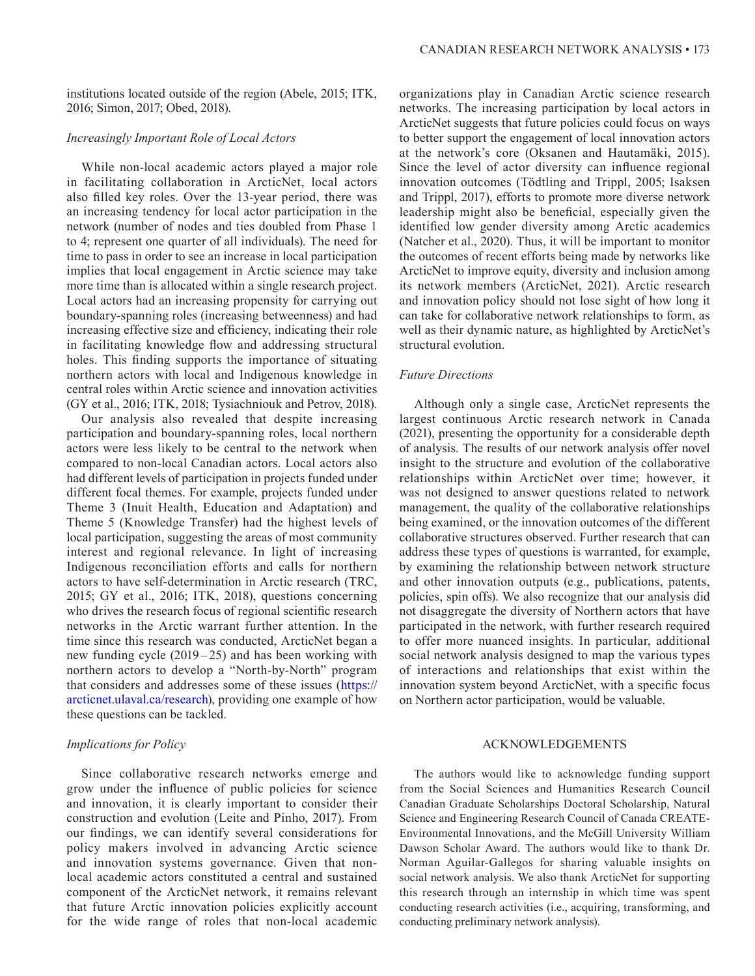institutions located outside of the region (Abele, 2015; ITK, 2016; Simon, 2017; Obed, 2018).

# *Increasingly Important Role of Local Actors*

While non-local academic actors played a major role in facilitating collaboration in ArcticNet, local actors also filled key roles. Over the 13-year period, there was an increasing tendency for local actor participation in the network (number of nodes and ties doubled from Phase 1 to 4; represent one quarter of all individuals). The need for time to pass in order to see an increase in local participation implies that local engagement in Arctic science may take more time than is allocated within a single research project. Local actors had an increasing propensity for carrying out boundary-spanning roles (increasing betweenness) and had increasing effective size and efficiency, indicating their role in facilitating knowledge flow and addressing structural holes. This finding supports the importance of situating northern actors with local and Indigenous knowledge in central roles within Arctic science and innovation activities (GY et al., 2016; ITK, 2018; Tysiachniouk and Petrov, 2018).

Our analysis also revealed that despite increasing participation and boundary-spanning roles, local northern actors were less likely to be central to the network when compared to non-local Canadian actors. Local actors also had different levels of participation in projects funded under different focal themes. For example, projects funded under Theme 3 (Inuit Health, Education and Adaptation) and Theme 5 (Knowledge Transfer) had the highest levels of local participation, suggesting the areas of most community interest and regional relevance. In light of increasing Indigenous reconciliation efforts and calls for northern actors to have self-determination in Arctic research (TRC, 2015; GY et al., 2016; ITK, 2018), questions concerning who drives the research focus of regional scientific research networks in the Arctic warrant further attention. In the time since this research was conducted, ArcticNet began a new funding cycle  $(2019 - 25)$  and has been working with northern actors to develop a "North-by-North" program that considers and addresses some of these issues ([https://](https://arcticnet.ulaval.ca/research) [arcticnet.ulaval.ca/research](https://arcticnet.ulaval.ca/research)), providing one example of how these questions can be tackled.

### *Implications for Policy*

Since collaborative research networks emerge and grow under the influence of public policies for science and innovation, it is clearly important to consider their construction and evolution (Leite and Pinho, 2017). From our findings, we can identify several considerations for policy makers involved in advancing Arctic science and innovation systems governance. Given that nonlocal academic actors constituted a central and sustained component of the ArcticNet network, it remains relevant that future Arctic innovation policies explicitly account for the wide range of roles that non-local academic

organizations play in Canadian Arctic science research networks. The increasing participation by local actors in ArcticNet suggests that future policies could focus on ways to better support the engagement of local innovation actors at the network's core (Oksanen and Hautamäki, 2015). Since the level of actor diversity can influence regional innovation outcomes (Tödtling and Trippl, 2005; Isaksen and Trippl, 2017), efforts to promote more diverse network leadership might also be beneficial, especially given the identified low gender diversity among Arctic academics (Natcher et al., 2020). Thus, it will be important to monitor the outcomes of recent efforts being made by networks like ArcticNet to improve equity, diversity and inclusion among its network members (ArcticNet, 2021). Arctic research and innovation policy should not lose sight of how long it can take for collaborative network relationships to form, as well as their dynamic nature, as highlighted by ArcticNet's structural evolution.

## *Future Directions*

Although only a single case, ArcticNet represents the largest continuous Arctic research network in Canada (2021), presenting the opportunity for a considerable depth of analysis. The results of our network analysis offer novel insight to the structure and evolution of the collaborative relationships within ArcticNet over time; however, it was not designed to answer questions related to network management, the quality of the collaborative relationships being examined, or the innovation outcomes of the different collaborative structures observed. Further research that can address these types of questions is warranted, for example, by examining the relationship between network structure and other innovation outputs (e.g., publications, patents, policies, spin offs). We also recognize that our analysis did not disaggregate the diversity of Northern actors that have participated in the network, with further research required to offer more nuanced insights. In particular, additional social network analysis designed to map the various types of interactions and relationships that exist within the innovation system beyond ArcticNet, with a specific focus on Northern actor participation, would be valuable.

# ACKNOWLEDGEMENTS

The authors would like to acknowledge funding support from the Social Sciences and Humanities Research Council Canadian Graduate Scholarships Doctoral Scholarship, Natural Science and Engineering Research Council of Canada CREATE-Environmental Innovations, and the McGill University William Dawson Scholar Award. The authors would like to thank Dr. Norman Aguilar-Gallegos for sharing valuable insights on social network analysis. We also thank ArcticNet for supporting this research through an internship in which time was spent conducting research activities (i.e., acquiring, transforming, and conducting preliminary network analysis).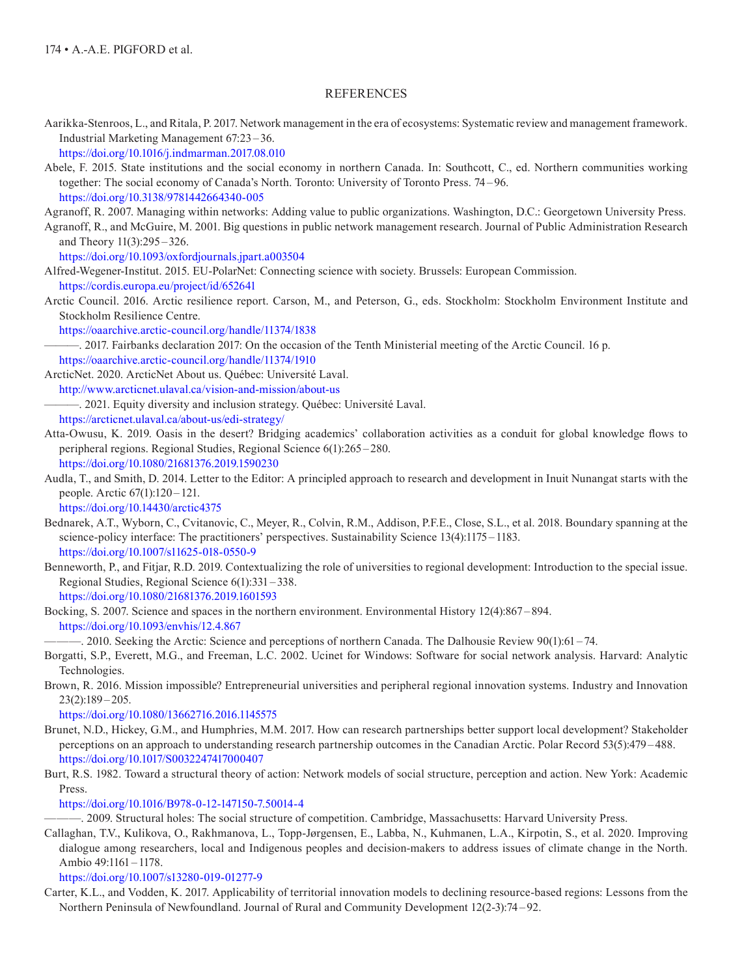# REFERENCES

Aarikka-Stenroos, L., and Ritala, P. 2017. Network management in the era of ecosystems: Systematic review and management framework. Industrial Marketing Management 67:23 –36.

<https://doi.org/10.1016/j.indmarman.2017.08.010>

Abele, F. 2015. State institutions and the social economy in northern Canada. In: Southcott, C., ed. Northern communities working together: The social economy of Canada's North. Toronto: University of Toronto Press. 74 –96. <https://doi.org/10.3138/9781442664340-005>

Agranoff, R. 2007. Managing within networks: Adding value to public organizations. Washington, D.C.: Georgetown University Press.

Agranoff, R., and McGuire, M. 2001. Big questions in public network management research. Journal of Public Administration Research and Theory 11(3):295 –326.

<https://doi.org/10.1093/oxfordjournals.jpart.a003504>

Alfred-Wegener-Institut. 2015. EU-PolarNet: Connecting science with society. Brussels: European Commission. <https://cordis.europa.eu/project/id/652641>

Arctic Council. 2016. Arctic resilience report. Carson, M., and Peterson, G., eds. Stockholm: Stockholm Environment Institute and Stockholm Resilience Centre.

<https://oaarchive.arctic-council.org/handle/11374/1838>

———. 2017. Fairbanks declaration 2017: On the occasion of the Tenth Ministerial meeting of the Arctic Council. 16 p. <https://oaarchive.arctic-council.org/handle/11374/1910>

ArcticNet. 2020. ArcticNet About us. Québec: Université Laval.

h<ttp://www.arcticnet.ulaval.ca/vision-and-mission/about-us>

-. 2021. Equity diversity and inclusion strategy. Québec: Université Laval.

<https://arcticnet.ulaval.ca/about-us/edi-strategy/>

Atta-Owusu, K. 2019. Oasis in the desert? Bridging academics' collaboration activities as a conduit for global knowledge flows to peripheral regions. Regional Studies, Regional Science 6(1):265 –280.

<https://doi.org/10.1080/21681376.2019.1590230>

Audla, T., and Smith, D. 2014. Letter to the Editor: A principled approach to research and development in Inuit Nunangat starts with the people. Arctic 67(1):120 –121.

<https://doi.org/10.14430/arctic4375>

- Bednarek, A.T., Wyborn, C., Cvitanovic, C., Meyer, R., Colvin, R.M., Addison, P.F.E., Close, S.L., et al. 2018. Boundary spanning at the science-policy interface: The practitioners' perspectives. Sustainability Science 13(4):1175 –1183. <https://doi.org/10.1007/s11625-018-0550-9>
- Benneworth, P., and Fitjar, R.D. 2019. Contextualizing the role of universities to regional development: Introduction to the special issue. Regional Studies, Regional Science 6(1):331 –338. <https://doi.org/10.1080/21681376.2019.1601593>

Bocking, S. 2007. Science and spaces in the northern environment. Environmental History 12(4):867 –894. <https://doi.org/10.1093/envhis/12.4.867>

———. 2010. Seeking the Arctic: Science and perceptions of northern Canada. The Dalhousie Review 90(1):61 –74.

- Borgatti, S.P., Everett, M.G., and Freeman, L.C. 2002. Ucinet for Windows: Software for social network analysis. Harvard: Analytic Technologies.
- Brown, R. 2016. Mission impossible? Entrepreneurial universities and peripheral regional innovation systems. Industry and Innovation 23(2):189 –205.

<https://doi.org/10.1080/13662716.2016.1145575>

- Brunet, N.D., Hickey, G.M., and Humphries, M.M. 2017. How can research partnerships better support local development? Stakeholder perceptions on an approach to understanding research partnership outcomes in the Canadian Arctic. Polar Record 53(5):479 –488. <https://doi.org/10.1017/S0032247417000407>
- Burt, R.S. 1982. Toward a structural theory of action: Network models of social structure, perception and action. New York: Academic Press.

<https://doi.org/10.1016/B978-0-12-147150-7.50014-4>

———. 2009. Structural holes: The social structure of competition. Cambridge, Massachusetts: Harvard University Press.

Callaghan, T.V., Kulikova, O., Rakhmanova, L., Topp-Jørgensen, E., Labba, N., Kuhmanen, L.A., Kirpotin, S., et al. 2020. Improving dialogue among researchers, local and Indigenous peoples and decision-makers to address issues of climate change in the North. Ambio 49:1161 –1178.

<https://doi.org/10.1007/s13280-019-01277-9>

Carter, K.L., and Vodden, K. 2017. Applicability of territorial innovation models to declining resource-based regions: Lessons from the Northern Peninsula of Newfoundland. Journal of Rural and Community Development 12(2-3):74 – 92.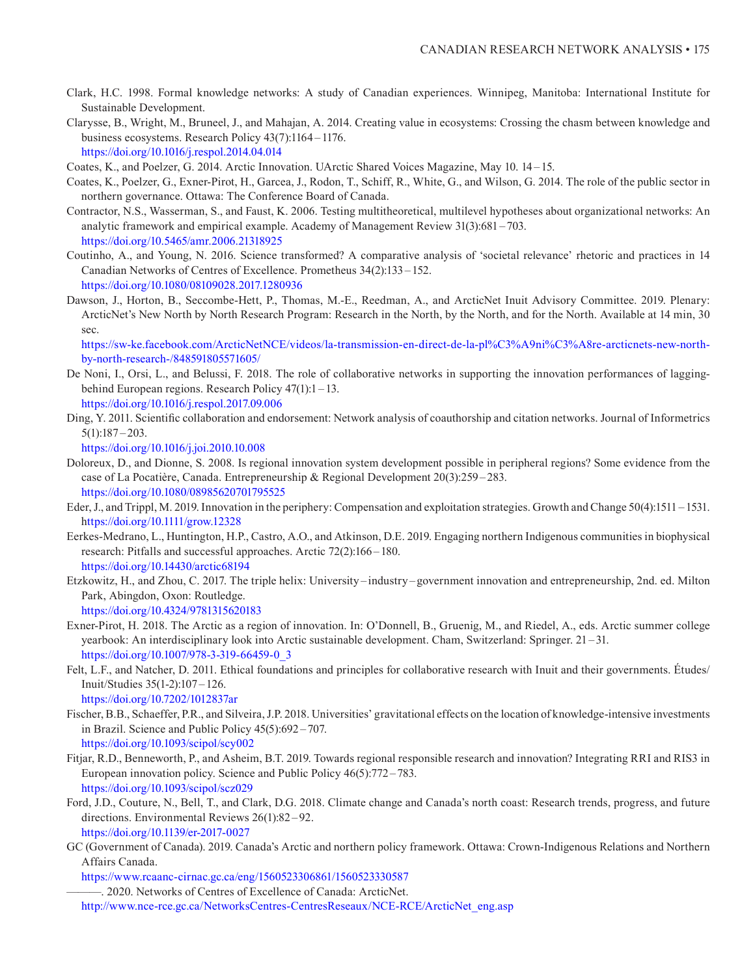- Clark, H.C. 1998. Formal knowledge networks: A study of Canadian experiences. Winnipeg, Manitoba: International Institute for Sustainable Development.
- Clarysse, B., Wright, M., Bruneel, J., and Mahajan, A. 2014. Creating value in ecosystems: Crossing the chasm between knowledge and business ecosystems. Research Policy 43(7):1164 – 1176. <https://doi.org/10.1016/j.respol.2014.04.014>
- Coates, K., and Poelzer, G. 2014. Arctic Innovation. UArctic Shared Voices Magazine, May 10. 14 15.
- Coates, K., Poelzer, G., Exner-Pirot, H., Garcea, J., Rodon, T., Schiff, R., White, G., and Wilson, G. 2014. The role of the public sector in northern governance. Ottawa: The Conference Board of Canada.
- Contractor, N.S., Wasserman, S., and Faust, K. 2006. Testing multitheoretical, multilevel hypotheses about organizational networks: An analytic framework and empirical example. Academy of Management Review 31(3):681 –703. <https://doi.org/10.5465/amr.2006.21318925>
- Coutinho, A., and Young, N. 2016. Science transformed? A comparative analysis of 'societal relevance' rhetoric and practices in 14 Canadian Networks of Centres of Excellence. Prometheus 34(2):133 –152. <https://doi.org/10.1080/08109028.2017.1280936>
- Dawson, J., Horton, B., Seccombe-Hett, P., Thomas, M.-E., Reedman, A., and ArcticNet Inuit Advisory Committee. 2019. Plenary: ArcticNet's New North by North Research Program: Research in the North, by the North, and for the North. Available at 14 min, 30 sec.

 [https://sw-ke.facebook.com/ArcticNetNCE/videos/la-transmission-en-direct-de-la-pl%C3%A9ni%C3%A8re-arcticnets-new-north](https://sw-ke.facebook.com/ArcticNetNCE/videos/la-transmission-en-direct-de-la-pl%C3%A9ni%C3%A8re-arcticnets-new-north-by-north-research-/848591805571605/)[by-north-research-/848591805571605/](https://sw-ke.facebook.com/ArcticNetNCE/videos/la-transmission-en-direct-de-la-pl%C3%A9ni%C3%A8re-arcticnets-new-north-by-north-research-/848591805571605/)

- De Noni, I., Orsi, L., and Belussi, F. 2018. The role of collaborative networks in supporting the innovation performances of laggingbehind European regions. Research Policy 47(1):1 –13. <https://doi.org/10.1016/j.respol.2017.09.006>
- Ding, Y. 2011. Scientific collaboration and endorsement: Network analysis of coauthorship and citation networks. Journal of Informetrics 5(1):187 –203.

<https://doi.org/10.1016/j.joi.2010.10.008>

- Doloreux, D., and Dionne, S. 2008. Is regional innovation system development possible in peripheral regions? Some evidence from the case of La Pocatière, Canada. Entrepreneurship & Regional Development 20(3):259 – 283. <https://doi.org/10.1080/08985620701795525>
- Eder, J., and Trippl, M. 2019. Innovation in the periphery: Compensation and exploitation strategies. Growth and Change 50(4):1511 1531. h[ttps://doi.org/10.1111/grow.12328](https://doi.org/10.1111/grow.12328)
- Eerkes-Medrano, L., Huntington, H.P., Castro, A.O., and Atkinson, D.E. 2019. Engaging northern Indigenous communities in biophysical research: Pitfalls and successful approaches. Arctic 72(2):166–180. <https://doi.org/10.14430/arctic68194>
- Etzkowitz, H., and Zhou, C. 2017. The triple helix: University –industry –government innovation and entrepreneurship, 2nd. ed. Milton Park, Abingdon, Oxon: Routledge. <https://doi.org/10.4324/9781315620183>
- Exner-Pirot, H. 2018. The Arctic as a region of innovation. In: O'Donnell, B., Gruenig, M., and Riedel, A., eds. Arctic summer college yearbook: An interdisciplinary look into Arctic sustainable development. Cham, Switzerland: Springer. 21 – 31. [https://doi.org/10.1007/978-3-319-66459-0\\_3](https://doi.org/10.1007/978-3-319-66459-0_3)
- Felt, L.F., and Natcher, D. 2011. Ethical foundations and principles for collaborative research with Inuit and their governments. Études/ Inuit/Studies 35(1-2):107–126. <https://doi.org/10.7202/1012837ar>
- Fischer, B.B., Schaeffer, P.R., and Silveira, J.P. 2018. Universities' gravitational effects on the location of knowledge-intensive investments in Brazil. Science and Public Policy 45(5):692 –707. <https://doi.org/10.1093/scipol/scy002>
- Fitjar, R.D., Benneworth, P., and Asheim, B.T. 2019. Towards regional responsible research and innovation? Integrating RRI and RIS3 in European innovation policy. Science and Public Policy 46(5):772 – 783. <https://doi.org/10.1093/scipol/scz029>
- Ford, J.D., Couture, N., Bell, T., and Clark, D.G. 2018. Climate change and Canada's north coast: Research trends, progress, and future directions. Environmental Reviews 26(1):82 –92. <https://doi.org/10.1139/er-2017-0027>
- GC (Government of Canada). 2019. Canada's Arctic and northern policy framework. Ottawa: Crown-Indigenous Relations and Northern Affairs Canada.

<https://www.rcaanc-cirnac.gc.ca/eng/1560523306861/1560523330587>

-. 2020. Networks of Centres of Excellence of Canada: ArcticNet.

http://www.nce-rce.gc.ca/NetworksCentres-CentresReseaux/NCE-RCE/ArcticNet\_eng.asp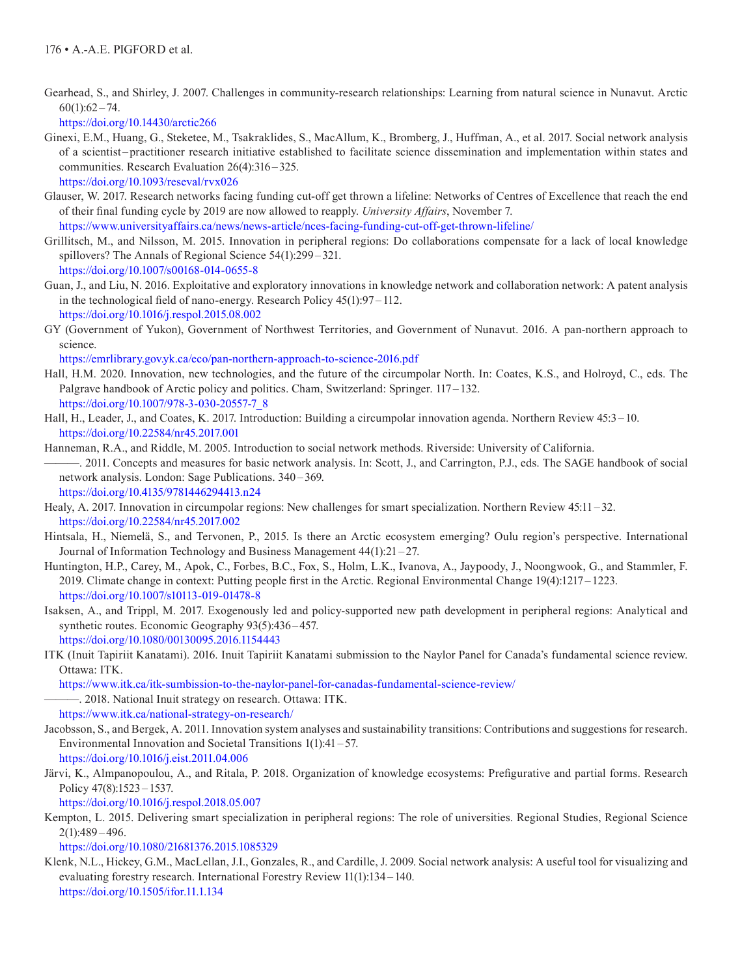Gearhead, S., and Shirley, J. 2007. Challenges in community-research relationships: Learning from natural science in Nunavut. Arctic  $60(1):62 - 74.$ 

<https://doi.org/10.14430/arctic266>

Ginexi, E.M., Huang, G., Steketee, M., Tsakraklides, S., MacAllum, K., Bromberg, J., Huffman, A., et al. 2017. Social network analysis of a scientist –practitioner research initiative established to facilitate science dissemination and implementation within states and communities. Research Evaluation 26(4):316 –325.

<https://doi.org/10.1093/reseval/rvx026>

Glauser, W. 2017. Research networks facing funding cut-off get thrown a lifeline: Networks of Centres of Excellence that reach the end of their final funding cycle by 2019 are now allowed to reapply. *University Affairs*, November 7.

<https://www.universityaffairs.ca/news/news-article/nces-facing-funding-cut-off-get-thrown-lifeline/>

- Grillitsch, M., and Nilsson, M. 2015. Innovation in peripheral regions: Do collaborations compensate for a lack of local knowledge spillovers? The Annals of Regional Science 54(1):299–321. <https://doi.org/10.1007/s00168-014-0655-8>
- Guan, J., and Liu, N. 2016. Exploitative and exploratory innovations in knowledge network and collaboration network: A patent analysis in the technological field of nano-energy. Research Policy 45(1):97 – 112. <https://doi.org/10.1016/j.respol.2015.08.002>
- GY (Government of Yukon), Government of Northwest Territories, and Government of Nunavut. 2016. A pan-northern approach to science.

<https://emrlibrary.gov.yk.ca/eco/pan-northern-approach-to-science-2016.pdf>

- Hall, H.M. 2020. Innovation, new technologies, and the future of the circumpolar North. In: Coates, K.S., and Holroyd, C., eds. The Palgrave handbook of Arctic policy and politics. Cham, Switzerland: Springer. 117–132. [https://doi.org/10.1007/978-3-030-20557-7\\_8](https://doi.org/10.1007/978-3-030-20557-7_8)
- Hall, H., Leader, J., and Coates, K. 2017. Introduction: Building a circumpolar innovation agenda. Northern Review 45:3 –10. <https://doi.org/10.22584/nr45.2017.001>
- Hanneman, R.A., and Riddle, M. 2005. Introduction to social network methods. Riverside: University of California. ———. 2011. Concepts and measures for basic network analysis. In: Scott, J., and Carrington, P.J., eds. The SAGE handbook of social network analysis. London: Sage Publications. 340 – 369. <https://doi.org/10.4135/9781446294413.n24>
- Healy, A. 2017. Innovation in circumpolar regions: New challenges for smart specialization. Northern Review 45:11 32. <https://doi.org/10.22584/nr45.2017.002>
- Hintsala, H., Niemelä, S., and Tervonen, P., 2015. Is there an Arctic ecosystem emerging? Oulu region's perspective. International Journal of Information Technology and Business Management 44(1):21 – 27.
- Huntington, H.P., Carey, M., Apok, C., Forbes, B.C., Fox, S., Holm, L.K., Ivanova, A., Jaypoody, J., Noongwook, G., and Stammler, F. 2019. Climate change in context: Putting people first in the Arctic. Regional Environmental Change 19(4):1217 –1223. <https://doi.org/10.1007/s10113-019-01478-8>
- Isaksen, A., and Trippl, M. 2017. Exogenously led and policy-supported new path development in peripheral regions: Analytical and synthetic routes. Economic Geography 93(5):436–457. <https://doi.org/10.1080/00130095.2016.1154443>
- ITK (Inuit Tapiriit Kanatami). 2016. Inuit Tapiriit Kanatami submission to the Naylor Panel for Canada's fundamental science review. Ottawa: ITK.
	- <https://www.itk.ca/itk-sumbission-to-the-naylor-panel-for-canadas-fundamental-science-review/>
		- -. 2018. National Inuit strategy on research. Ottawa: ITK.

<https://www.itk.ca/national-strategy-on-research/>

- Jacobsson, S., and Bergek, A. 2011. Innovation system analyses and sustainability transitions: Contributions and suggestions for research. Environmental Innovation and Societal Transitions 1(1):41 – 57. <https://doi.org/10.1016/j.eist.2011.04.006>
- Järvi, K., Almpanopoulou, A., and Ritala, P. 2018. Organization of knowledge ecosystems: Prefigurative and partial forms. Research Policy 47(8):1523 –1537.

<https://doi.org/10.1016/j.respol.2018.05.007>

Kempton, L. 2015. Delivering smart specialization in peripheral regions: The role of universities. Regional Studies, Regional Science 2(1):489 –496.

<https://doi.org/10.1080/21681376.2015.1085329>

Klenk, N.L., Hickey, G.M., MacLellan, J.I., Gonzales, R., and Cardille, J. 2009. Social network analysis: A useful tool for visualizing and evaluating forestry research. International Forestry Review 11(1):134 –140. <https://doi.org/10.1505/ifor.11.1.134>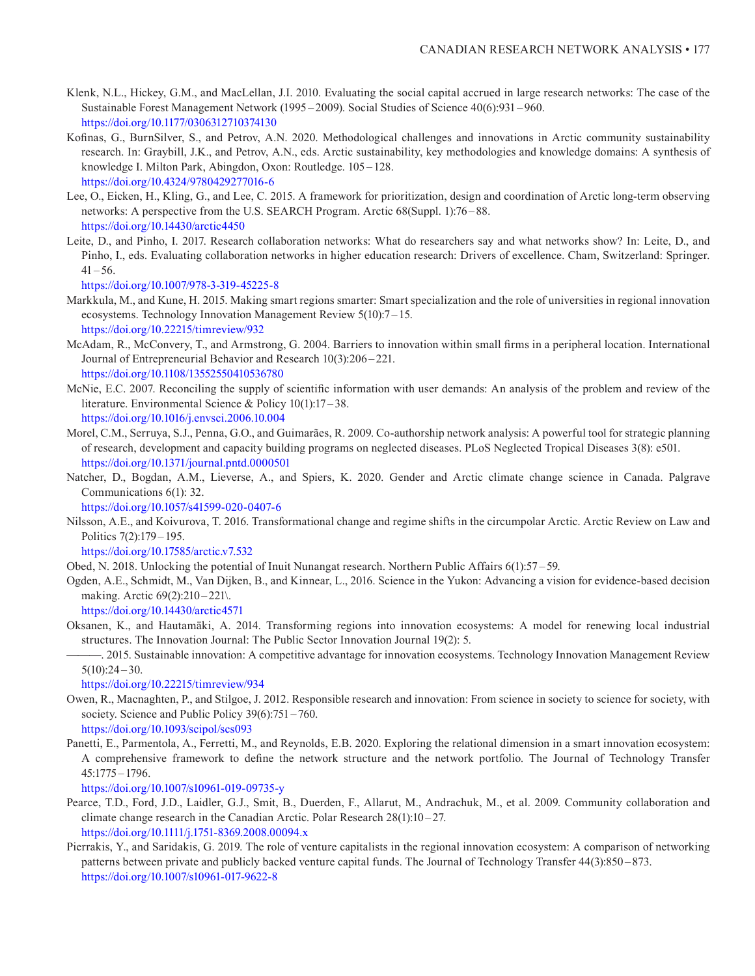- Klenk, N.L., Hickey, G.M., and MacLellan, J.I. 2010. Evaluating the social capital accrued in large research networks: The case of the Sustainable Forest Management Network (1995 –2009). Social Studies of Science 40(6):931 –960. <https://doi.org/10.1177/0306312710374130>
- Kofinas, G., BurnSilver, S., and Petrov, A.N. 2020. Methodological challenges and innovations in Arctic community sustainability research. In: Graybill, J.K., and Petrov, A.N., eds. Arctic sustainability, key methodologies and knowledge domains: A synthesis of knowledge I. Milton Park, Abingdon, Oxon: Routledge. 105 –128. <https://doi.org/10.4324/9780429277016-6>
- Lee, O., Eicken, H., Kling, G., and Lee, C. 2015. A framework for prioritization, design and coordination of Arctic long-term observing networks: A perspective from the U.S. SEARCH Program. Arctic 68(Suppl. 1):76–88. <https://doi.org/10.14430/arctic4450>
- Leite, D., and Pinho, I. 2017. Research collaboration networks: What do researchers say and what networks show? In: Leite, D., and Pinho, I., eds. Evaluating collaboration networks in higher education research: Drivers of excellence. Cham, Switzerland: Springer.  $41 - 56$ .

<https://doi.org/10.1007/978-3-319-45225-8>

- Markkula, M., and Kune, H. 2015. Making smart regions smarter: Smart specialization and the role of universities in regional innovation ecosystems. Technology Innovation Management Review 5(10):7 –15. <https://doi.org/10.22215/timreview/932>
- McAdam, R., McConvery, T., and Armstrong, G. 2004. Barriers to innovation within small firms in a peripheral location. International Journal of Entrepreneurial Behavior and Research 10(3):206 –221. <https://doi.org/10.1108/13552550410536780>
- McNie, E.C. 2007. Reconciling the supply of scientific information with user demands: An analysis of the problem and review of the literature. Environmental Science & Policy 10(1):17 – 38. <https://doi.org/10.1016/j.envsci.2006.10.004>
- Morel, C.M., Serruya, S.J., Penna, G.O., and Guimarães, R. 2009. Co-authorship network analysis: A powerful tool for strategic planning of research, development and capacity building programs on neglected diseases. PLoS Neglected Tropical Diseases 3(8): e501. <https://doi.org/10.1371/journal.pntd.0000501>
- Natcher, D., Bogdan, A.M., Lieverse, A., and Spiers, K. 2020. Gender and Arctic climate change science in Canada. Palgrave Communications 6(1): 32.

<https://doi.org/10.1057/s41599-020-0407-6>

Nilsson, A.E., and Koivurova, T. 2016. Transformational change and regime shifts in the circumpolar Arctic. Arctic Review on Law and Politics 7(2):179 –195.

<https://doi.org/10.17585/arctic.v7.532>

Obed, N. 2018. Unlocking the potential of Inuit Nunangat research. Northern Public Affairs 6(1):57 –59.

Ogden, A.E., Schmidt, M., Van Dijken, B., and Kinnear, L., 2016. Science in the Yukon: Advancing a vision for evidence-based decision making. Arctic 69(2):210 –221\.

<https://doi.org/10.14430/arctic4571>

- Oksanen, K., and Hautamäki, A. 2014. Transforming regions into innovation ecosystems: A model for renewing local industrial structures. The Innovation Journal: The Public Sector Innovation Journal 19(2): 5.
- ———. 2015. Sustainable innovation: A competitive advantage for innovation ecosystems. Technology Innovation Management Review  $5(10):24-30.$

<https://doi.org/10.22215/timreview/934>

Owen, R., Macnaghten, P., and Stilgoe, J. 2012. Responsible research and innovation: From science in society to science for society, with society. Science and Public Policy 39(6):751 – 760.

<https://doi.org/10.1093/scipol/scs093>

Panetti, E., Parmentola, A., Ferretti, M., and Reynolds, E.B. 2020. Exploring the relational dimension in a smart innovation ecosystem: A comprehensive framework to define the network structure and the network portfolio. The Journal of Technology Transfer 45:1775 –1796.

<https://doi.org/10.1007/s10961-019-09735-y>

- Pearce, T.D., Ford, J.D., Laidler, G.J., Smit, B., Duerden, F., Allarut, M., Andrachuk, M., et al. 2009. Community collaboration and climate change research in the Canadian Arctic. Polar Research 28(1):10 –27. <https://doi.org/10.1111/j.1751-8369.2008.00094.x>
- Pierrakis, Y., and Saridakis, G. 2019. The role of venture capitalists in the regional innovation ecosystem: A comparison of networking patterns between private and publicly backed venture capital funds. The Journal of Technology Transfer 44(3):850 –873. <https://doi.org/10.1007/s10961-017-9622-8>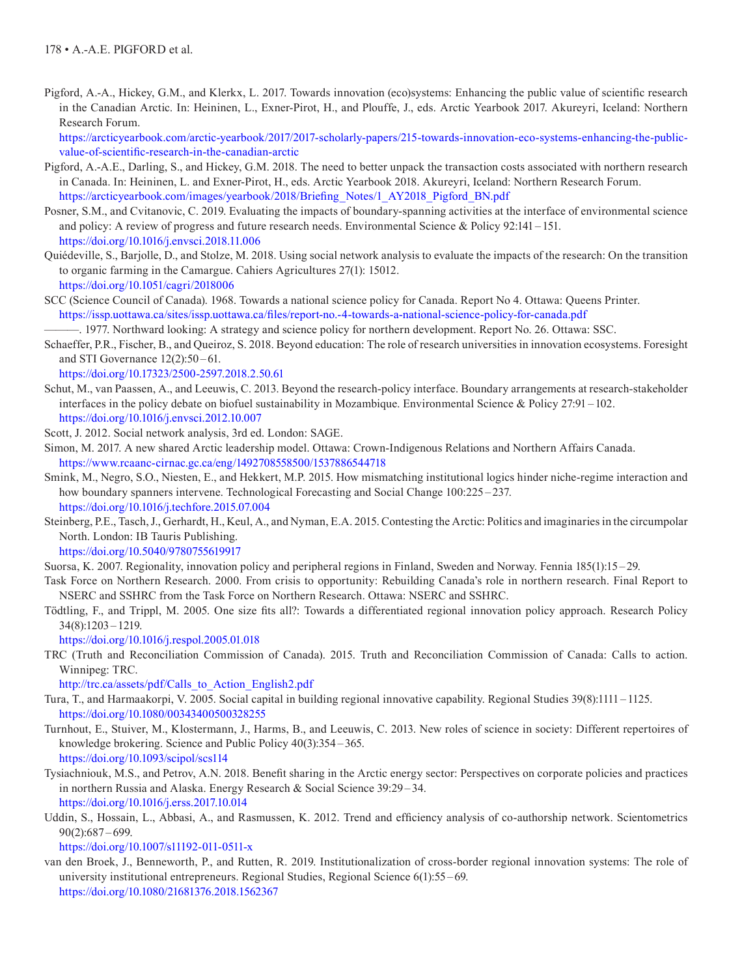Pigford, A.-A., Hickey, G.M., and Klerkx, L. 2017. Towards innovation (eco)systems: Enhancing the public value of scientific research in the Canadian Arctic. In: Heininen, L., Exner-Pirot, H., and Plouffe, J., eds. Arctic Yearbook 2017. Akureyri, Iceland: Northern Research Forum.

 [https://arcticyearbook.com/arctic-yearbook/2017/2017-scholarly-papers/215-towards-innovation-eco-systems-enhancing-the-public](https://arcticyearbook.com/arctic-yearbook/2017/2017-scholarly-papers/215-towards-innovation-eco-systems-enhancing-the-public-value-of-scientific-research-in-the-canadian-arctic)[value-of-scientific-research-in-the-canadian-arctic](https://arcticyearbook.com/arctic-yearbook/2017/2017-scholarly-papers/215-towards-innovation-eco-systems-enhancing-the-public-value-of-scientific-research-in-the-canadian-arctic)

- Pigford, A.-A.E., Darling, S., and Hickey, G.M. 2018. The need to better unpack the transaction costs associated with northern research in Canada. In: Heininen, L. and Exner-Pirot, H., eds. Arctic Yearbook 2018. Akureyri, Iceland: Northern Research Forum. [https://arcticyearbook.com/images/yearbook/2018/Briefing\\_Notes/1\\_AY2018\\_Pigford\\_BN.pdf](https://arcticyearbook.com/images/yearbook/2018/Briefing_Notes/1_AY2018_Pigford_BN.pdf)
- Posner, S.M., and Cvitanovic, C. 2019. Evaluating the impacts of boundary-spanning activities at the interface of environmental science and policy: A review of progress and future research needs. Environmental Science & Policy 92:141 –151. <https://doi.org/10.1016/j.envsci.2018.11.006>
- Quiédeville, S., Barjolle, D., and Stolze, M. 2018. Using social network analysis to evaluate the impacts of the research: On the transition to organic farming in the Camargue. Cahiers Agricultures 27(1): 15012. <https://doi.org/10.1051/cagri/2018006>
- SCC (Science Council of Canada). 1968. Towards a national science policy for Canada. Report No 4. Ottawa: Queens Printer. <https://issp.uottawa.ca/sites/issp.uottawa.ca/files/report-no.-4-towards-a-national-science-policy-for-canada.pdf>

-. 1977. Northward looking: A strategy and science policy for northern development. Report No. 26. Ottawa: SSC.

Schaeffer, P.R., Fischer, B., and Queiroz, S. 2018. Beyond education: The role of research universities in innovation ecosystems. Foresight and STI Governance 12(2):50 –61.

<https://doi.org/10.17323/2500-2597.2018.2.50.61>

- Schut, M., van Paassen, A., and Leeuwis, C. 2013. Beyond the research-policy interface. Boundary arrangements at research-stakeholder interfaces in the policy debate on biofuel sustainability in Mozambique. Environmental Science & Policy 27:91 –102. <https://doi.org/10.1016/j.envsci.2012.10.007>
- Scott, J. 2012. Social network analysis, 3rd ed. London: SAGE.
- Simon, M. 2017. A new shared Arctic leadership model. Ottawa: Crown-Indigenous Relations and Northern Affairs Canada. <https://www.rcaanc-cirnac.gc.ca/eng/1492708558500/1537886544718>
- Smink, M., Negro, S.O., Niesten, E., and Hekkert, M.P. 2015. How mismatching institutional logics hinder niche-regime interaction and how boundary spanners intervene. Technological Forecasting and Social Change 100:225 –237. <https://doi.org/10.1016/j.techfore.2015.07.004>
- Steinberg, P.E., Tasch, J., Gerhardt, H., Keul, A., and Nyman, E.A. 2015. Contesting the Arctic: Politics and imaginaries in the circumpolar North. London: IB Tauris Publishing.

<https://doi.org/10.5040/9780755619917>

Suorsa, K. 2007. Regionality, innovation policy and peripheral regions in Finland, Sweden and Norway. Fennia 185(1):15 –29.

Task Force on Northern Research. 2000. From crisis to opportunity: Rebuilding Canada's role in northern research. Final Report to NSERC and SSHRC from the Task Force on Northern Research. Ottawa: NSERC and SSHRC.

Tödtling, F., and Trippl, M. 2005. One size fits all?: Towards a differentiated regional innovation policy approach. Research Policy 34(8):1203 –1219.

<https://doi.org/10.1016/j.respol.2005.01.018>

TRC (Truth and Reconciliation Commission of Canada). 2015. Truth and Reconciliation Commission of Canada: Calls to action. Winnipeg: TRC.

[http://trc.ca/assets/pdf/Calls\\_to\\_Action\\_English2.pdf](http://trc.ca/assets/pdf/Calls_to_Action_English2.pdf) 

- Tura, T., and Harmaakorpi, V. 2005. Social capital in building regional innovative capability. Regional Studies 39(8):1111 1125. <https://doi.org/10.1080/00343400500328255>
- Turnhout, E., Stuiver, M., Klostermann, J., Harms, B., and Leeuwis, C. 2013. New roles of science in society: Different repertoires of knowledge brokering. Science and Public Policy 40(3):354 – 365. <https://doi.org/10.1093/scipol/scs114>
- Tysiachniouk, M.S., and Petrov, A.N. 2018. Benefit sharing in the Arctic energy sector: Perspectives on corporate policies and practices in northern Russia and Alaska. Energy Research & Social Science 39:29 –34. <https://doi.org/10.1016/j.erss.2017.10.014>
- Uddin, S., Hossain, L., Abbasi, A., and Rasmussen, K. 2012. Trend and efficiency analysis of co-authorship network. Scientometrics 90(2):687 –699.

<https://doi.org/10.1007/s11192-011-0511-x>

van den Broek, J., Benneworth, P., and Rutten, R. 2019. Institutionalization of cross-border regional innovation systems: The role of university institutional entrepreneurs. Regional Studies, Regional Science 6(1):55 –69. <https://doi.org/10.1080/21681376.2018.1562367>